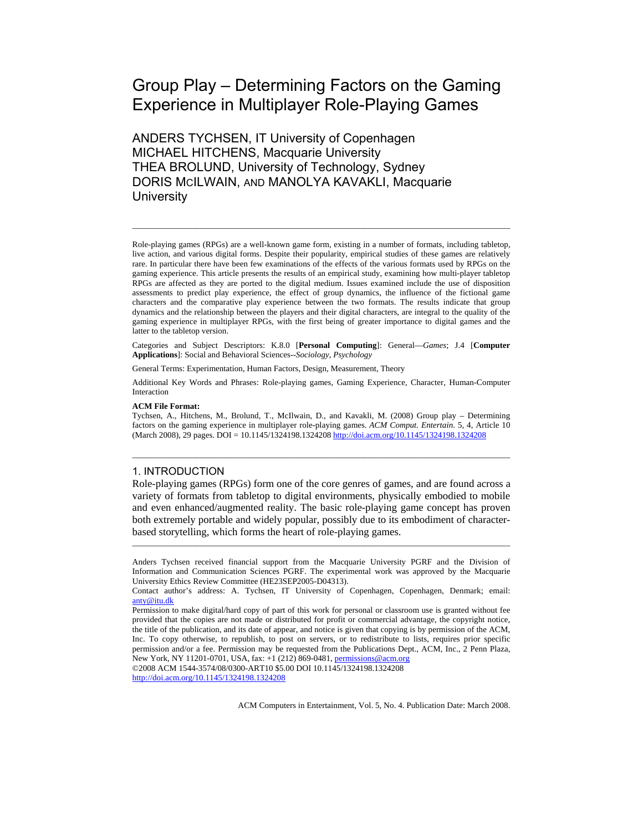# Group Play – Determining Factors on the Gaming Experience in Multiplayer Role-Playing Games

ANDERS TYCHSEN, IT University of Copenhagen MICHAEL HITCHENS, Macquarie University THEA BROLUND, University of Technology, Sydney DORIS MCILWAIN, AND MANOLYA KAVAKLI, Macquarie **University** 

Role-playing games (RPGs) are a well-known game form, existing in a number of formats, including tabletop, live action, and various digital forms. Despite their popularity, empirical studies of these games are relatively rare. In particular there have been few examinations of the effects of the various formats used by RPGs on the gaming experience. This article presents the results of an empirical study, examining how multi-player tabletop RPGs are affected as they are ported to the digital medium. Issues examined include the use of disposition assessments to predict play experience, the effect of group dynamics, the influence of the fictional game characters and the comparative play experience between the two formats. The results indicate that group dynamics and the relationship between the players and their digital characters, are integral to the quality of the gaming experience in multiplayer RPGs, with the first being of greater importance to digital games and the latter to the tabletop version.

\_\_\_\_\_\_\_\_\_\_\_\_\_\_\_\_\_\_\_\_\_\_\_\_\_\_\_\_\_\_\_\_\_\_\_\_\_\_\_\_\_\_\_\_\_\_\_\_\_\_\_\_\_\_\_\_\_\_\_\_\_\_\_\_\_\_\_\_\_\_\_\_\_\_\_\_\_\_\_\_\_\_\_\_\_\_\_\_\_\_

Categories and Subject Descriptors: K.8.0 [**Personal Computing**]: General—*Games*; J.4 [**Computer Applications**]: Social and Behavioral Sciences--*Sociology, Psychology* 

General Terms: Experimentation, Human Factors, Design, Measurement, Theory

Additional Key Words and Phrases: Role-playing games, Gaming Experience, Character, Human-Computer Interaction

#### **ACM File Format:**

Tychsen, A., Hitchens, M., Brolund, T., McIlwain, D., and Kavakli, M. (2008) Group play – Determining factors on the gaming experience in multiplayer role-playing games. *ACM Comput. Entertain*. 5, 4, Article 10 (March 2008), 29 pages. DOI = 10.1145/1324198.1324208 http://doi.acm.org/10.1145/1324198.1324208

 $\_$  ,  $\_$  ,  $\_$  ,  $\_$  ,  $\_$  ,  $\_$  ,  $\_$  ,  $\_$  ,  $\_$  ,  $\_$  ,  $\_$  ,  $\_$  ,  $\_$  ,  $\_$  ,  $\_$  ,  $\_$  ,  $\_$  ,  $\_$  ,  $\_$  ,  $\_$  ,  $\_$  ,  $\_$  ,  $\_$  ,  $\_$  ,  $\_$  ,  $\_$  ,  $\_$  ,  $\_$  ,  $\_$  ,  $\_$  ,  $\_$  ,  $\_$  ,  $\_$  ,  $\_$  ,  $\_$  ,  $\_$  ,  $\_$  ,

## 1. INTRODUCTION

Role-playing games (RPGs) form one of the core genres of games, and are found across a variety of formats from tabletop to digital environments, physically embodied to mobile and even enhanced/augmented reality. The basic role-playing game concept has proven both extremely portable and widely popular, possibly due to its embodiment of characterbased storytelling, which forms the heart of role-playing games.

\_\_\_\_\_\_\_\_\_\_\_\_\_\_\_\_\_\_\_\_\_\_\_\_\_\_\_\_\_\_\_\_\_\_\_\_\_\_\_\_\_\_\_\_\_\_\_\_\_\_\_\_\_\_\_\_\_\_\_\_\_\_\_\_\_\_\_\_\_\_\_\_\_\_\_\_\_\_\_\_\_\_\_\_\_\_\_\_\_\_

http://doi.acm.org/10.1145/1324198.1324208

Anders Tychsen received financial support from the Macquarie University PGRF and the Division of Information and Communication Sciences PGRF. The experimental work was approved by the Macquarie University Ethics Review Committee (HE23SEP2005-D04313).

Contact author's address: A. Tychsen, IT University of Copenhagen, Copenhagen, Denmark; email: anty@itu.dk

Permission to make digital/hard copy of part of this work for personal or classroom use is granted without fee provided that the copies are not made or distributed for profit or commercial advantage, the copyright notice, the title of the publication, and its date of appear, and notice is given that copying is by permission of the ACM, Inc. To copy otherwise, to republish, to post on servers, or to redistribute to lists, requires prior specific permission and/or a fee. Permission may be requested from the Publications Dept., ACM, Inc., 2 Penn Plaza, New York, NY 11201-0701, USA, fax: +1 (212) 869-0481, permissions@acm.org ©2008 ACM 1544-3574/08/0300-ART10 \$5.00 DOI 10.1145/1324198.1324208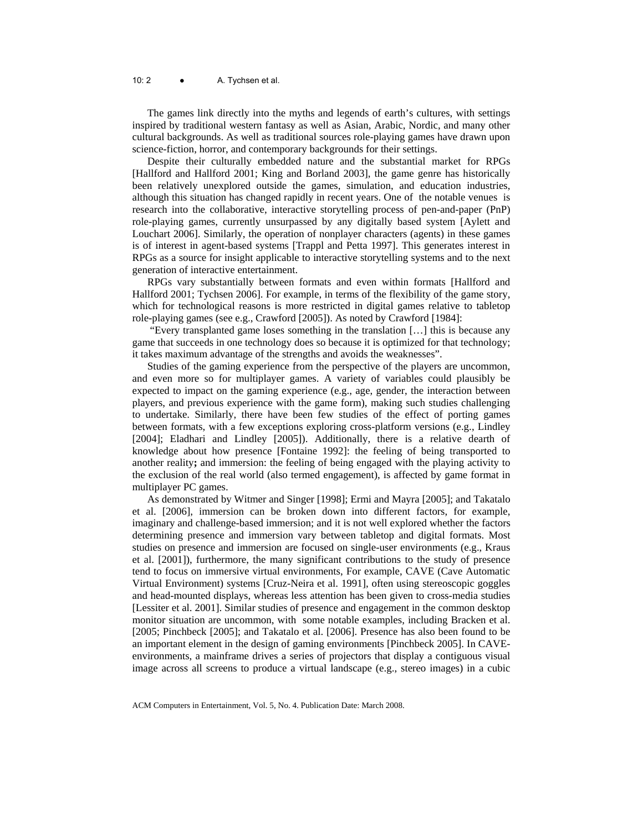## 10: 2 ● A. Tychsen et al.

The games link directly into the myths and legends of earth's cultures, with settings inspired by traditional western fantasy as well as Asian, Arabic, Nordic, and many other cultural backgrounds. As well as traditional sources role-playing games have drawn upon science-fiction, horror, and contemporary backgrounds for their settings.

Despite their culturally embedded nature and the substantial market for RPGs [Hallford and Hallford 2001; King and Borland 2003], the game genre has historically been relatively unexplored outside the games, simulation, and education industries, although this situation has changed rapidly in recent years. One of the notable venues is research into the collaborative, interactive storytelling process of pen-and-paper (PnP) role-playing games, currently unsurpassed by any digitally based system [Aylett and Louchart 2006]. Similarly, the operation of nonplayer characters (agents) in these games is of interest in agent-based systems [Trappl and Petta 1997]. This generates interest in RPGs as a source for insight applicable to interactive storytelling systems and to the next generation of interactive entertainment.

RPGs vary substantially between formats and even within formats [Hallford and Hallford 2001; Tychsen 2006]. For example, in terms of the flexibility of the game story, which for technological reasons is more restricted in digital games relative to tabletop role-playing games (see e.g., Crawford [2005]). As noted by Crawford [1984]:

 "Every transplanted game loses something in the translation […] this is because any game that succeeds in one technology does so because it is optimized for that technology; it takes maximum advantage of the strengths and avoids the weaknesses".

Studies of the gaming experience from the perspective of the players are uncommon, and even more so for multiplayer games. A variety of variables could plausibly be expected to impact on the gaming experience (e.g., age, gender, the interaction between players, and previous experience with the game form), making such studies challenging to undertake. Similarly, there have been few studies of the effect of porting games between formats, with a few exceptions exploring cross-platform versions (e.g., Lindley [2004]; Eladhari and Lindley [2005]). Additionally, there is a relative dearth of knowledge about how presence [Fontaine 1992]: the feeling of being transported to another reality**;** and immersion: the feeling of being engaged with the playing activity to the exclusion of the real world (also termed engagement), is affected by game format in multiplayer PC games.

As demonstrated by Witmer and Singer [1998]; Ermi and Mayra [2005]; and Takatalo et al. [2006], immersion can be broken down into different factors, for example, imaginary and challenge-based immersion; and it is not well explored whether the factors determining presence and immersion vary between tabletop and digital formats. Most studies on presence and immersion are focused on single-user environments (e.g., Kraus et al. [2001]), furthermore, the many significant contributions to the study of presence tend to focus on immersive virtual environments, For example, CAVE (Cave Automatic Virtual Environment) systems [Cruz-Neira et al. 1991], often using stereoscopic goggles and head-mounted displays, whereas less attention has been given to cross-media studies [Lessiter et al. 2001]. Similar studies of presence and engagement in the common desktop monitor situation are uncommon, with some notable examples, including Bracken et al. [2005; Pinchbeck [2005]; and Takatalo et al. [2006]. Presence has also been found to be an important element in the design of gaming environments [Pinchbeck 2005]. In CAVEenvironments, a mainframe drives a series of projectors that display a contiguous visual image across all screens to produce a virtual landscape (e.g., stereo images) in a cubic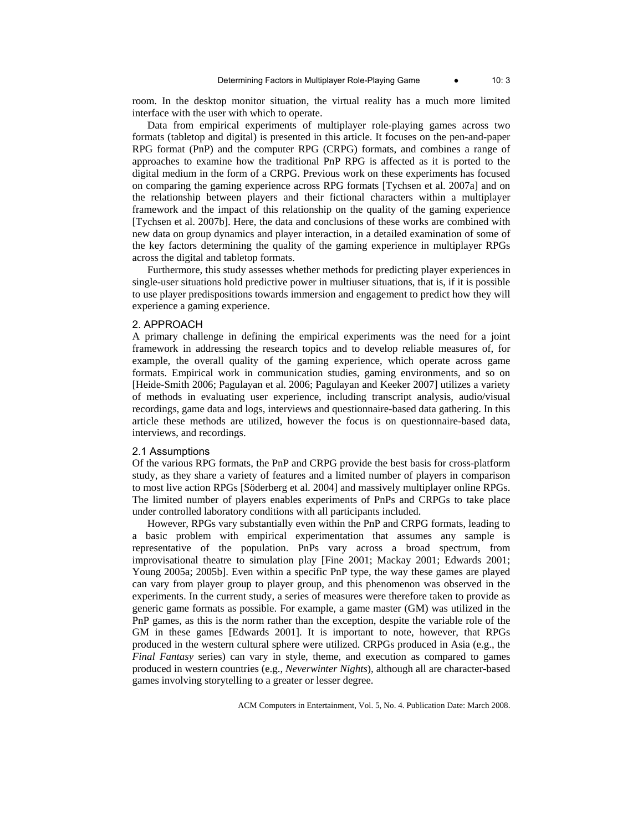room. In the desktop monitor situation, the virtual reality has a much more limited interface with the user with which to operate.

Data from empirical experiments of multiplayer role-playing games across two formats (tabletop and digital) is presented in this article. It focuses on the pen-and-paper RPG format (PnP) and the computer RPG (CRPG) formats, and combines a range of approaches to examine how the traditional PnP RPG is affected as it is ported to the digital medium in the form of a CRPG. Previous work on these experiments has focused on comparing the gaming experience across RPG formats [Tychsen et al. 2007a] and on the relationship between players and their fictional characters within a multiplayer framework and the impact of this relationship on the quality of the gaming experience [Tychsen et al. 2007b]. Here, the data and conclusions of these works are combined with new data on group dynamics and player interaction, in a detailed examination of some of the key factors determining the quality of the gaming experience in multiplayer RPGs across the digital and tabletop formats.

Furthermore, this study assesses whether methods for predicting player experiences in single-user situations hold predictive power in multiuser situations, that is, if it is possible to use player predispositions towards immersion and engagement to predict how they will experience a gaming experience.

## 2. APPROACH

A primary challenge in defining the empirical experiments was the need for a joint framework in addressing the research topics and to develop reliable measures of, for example, the overall quality of the gaming experience, which operate across game formats. Empirical work in communication studies, gaming environments, and so on [Heide-Smith 2006; Pagulayan et al. 2006; Pagulayan and Keeker 2007] utilizes a variety of methods in evaluating user experience, including transcript analysis, audio/visual recordings, game data and logs, interviews and questionnaire-based data gathering. In this article these methods are utilized, however the focus is on questionnaire-based data, interviews, and recordings.

## 2.1 Assumptions

Of the various RPG formats, the PnP and CRPG provide the best basis for cross-platform study, as they share a variety of features and a limited number of players in comparison to most live action RPGs [Söderberg et al. 2004] and massively multiplayer online RPGs. The limited number of players enables experiments of PnPs and CRPGs to take place under controlled laboratory conditions with all participants included.

However, RPGs vary substantially even within the PnP and CRPG formats, leading to a basic problem with empirical experimentation that assumes any sample is representative of the population. PnPs vary across a broad spectrum, from improvisational theatre to simulation play [Fine 2001; Mackay 2001; Edwards 2001; Young 2005a; 2005b]. Even within a specific PnP type, the way these games are played can vary from player group to player group, and this phenomenon was observed in the experiments. In the current study, a series of measures were therefore taken to provide as generic game formats as possible. For example, a game master (GM) was utilized in the PnP games, as this is the norm rather than the exception, despite the variable role of the GM in these games [Edwards 2001]. It is important to note, however, that RPGs produced in the western cultural sphere were utilized. CRPGs produced in Asia (e.g., the *Final Fantasy* series) can vary in style, theme, and execution as compared to games produced in western countries (e.g., *Neverwinter Nights*)*,* although all are character-based games involving storytelling to a greater or lesser degree.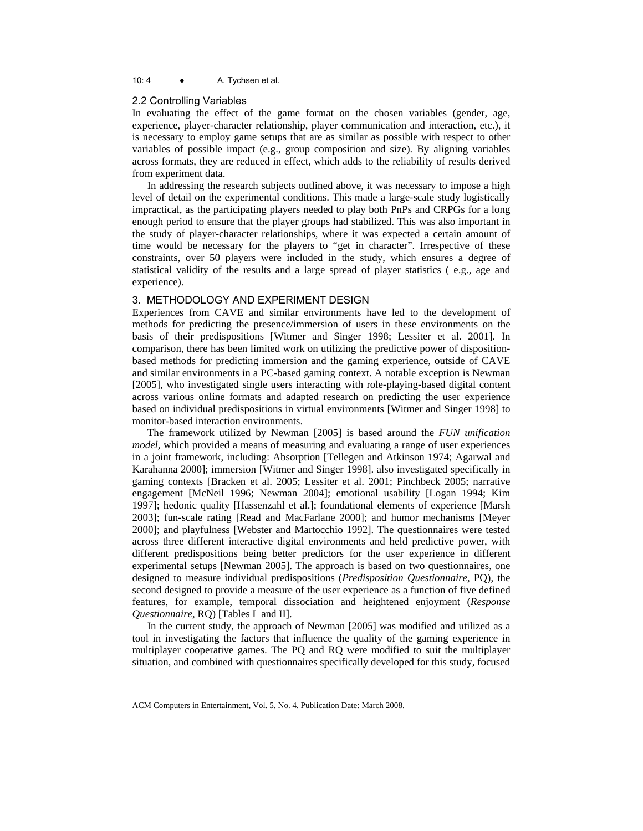## 10: 4 ● A. Tychsen et al.

#### 2.2 Controlling Variables

In evaluating the effect of the game format on the chosen variables (gender, age, experience, player-character relationship, player communication and interaction, etc.), it is necessary to employ game setups that are as similar as possible with respect to other variables of possible impact (e.g., group composition and size). By aligning variables across formats, they are reduced in effect, which adds to the reliability of results derived from experiment data.

In addressing the research subjects outlined above, it was necessary to impose a high level of detail on the experimental conditions. This made a large-scale study logistically impractical, as the participating players needed to play both PnPs and CRPGs for a long enough period to ensure that the player groups had stabilized. This was also important in the study of player-character relationships, where it was expected a certain amount of time would be necessary for the players to "get in character". Irrespective of these constraints, over 50 players were included in the study, which ensures a degree of statistical validity of the results and a large spread of player statistics ( e.g., age and experience).

## 3. METHODOLOGY AND EXPERIMENT DESIGN

Experiences from CAVE and similar environments have led to the development of methods for predicting the presence/immersion of users in these environments on the basis of their predispositions [Witmer and Singer 1998; Lessiter et al. 2001]. In comparison, there has been limited work on utilizing the predictive power of dispositionbased methods for predicting immersion and the gaming experience, outside of CAVE and similar environments in a PC-based gaming context. A notable exception is Newman [2005], who investigated single users interacting with role-playing-based digital content across various online formats and adapted research on predicting the user experience based on individual predispositions in virtual environments [Witmer and Singer 1998] to monitor-based interaction environments.

The framework utilized by Newman [2005] is based around the *FUN unification model*, which provided a means of measuring and evaluating a range of user experiences in a joint framework, including: Absorption [Tellegen and Atkinson 1974; Agarwal and Karahanna 2000]; immersion [Witmer and Singer 1998]. also investigated specifically in gaming contexts [Bracken et al. 2005; Lessiter et al. 2001; Pinchbeck 2005; narrative engagement [McNeil 1996; Newman 2004]; emotional usability [Logan 1994; Kim 1997]; hedonic quality [Hassenzahl et al.]; foundational elements of experience [Marsh 2003]; fun-scale rating [Read and MacFarlane 2000]; and humor mechanisms [Meyer 2000]; and playfulness [Webster and Martocchio 1992]. The questionnaires were tested across three different interactive digital environments and held predictive power, with different predispositions being better predictors for the user experience in different experimental setups [Newman 2005]. The approach is based on two questionnaires, one designed to measure individual predispositions (*Predisposition Questionnaire*, PQ), the second designed to provide a measure of the user experience as a function of five defined features, for example, temporal dissociation and heightened enjoyment (*Response Questionnaire*, RQ) [Tables I and II].

In the current study, the approach of Newman [2005] was modified and utilized as a tool in investigating the factors that influence the quality of the gaming experience in multiplayer cooperative games. The PQ and RQ were modified to suit the multiplayer situation, and combined with questionnaires specifically developed for this study, focused

ACM Computers in Entertainment, Vol. 5, No. 4. Publication Date: March 2008.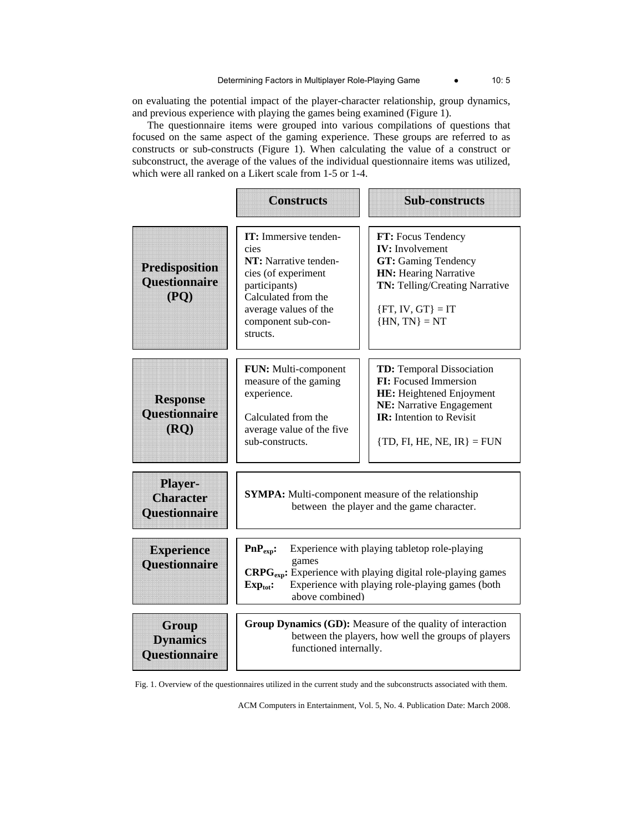on evaluating the potential impact of the player-character relationship, group dynamics, and previous experience with playing the games being examined (Figure 1).

The questionnaire items were grouped into various compilations of questions that focused on the same aspect of the gaming experience. These groups are referred to as constructs or sub-constructs (Figure 1). When calculating the value of a construct or subconstruct, the average of the values of the individual questionnaire items was utilized, which were all ranked on a Likert scale from 1-5 or 1-4.

|                                                            | <b>Constructs</b>                                                                                                                                                                                                                         | <b>Sub-constructs</b>                                                                                                                                                                                |  |  |
|------------------------------------------------------------|-------------------------------------------------------------------------------------------------------------------------------------------------------------------------------------------------------------------------------------------|------------------------------------------------------------------------------------------------------------------------------------------------------------------------------------------------------|--|--|
| <b>Predisposition</b><br><b>Questionnaire</b><br>(PQ)      | IT: Immersive tenden-<br>cies<br>NT: Narrative tenden-<br>cies (of experiment<br>participants)<br>Calculated from the<br>average values of the<br>component sub-con-<br>structs.                                                          | FT: Focus Tendency<br><b>IV:</b> Involvement<br><b>GT:</b> Gaming Tendency<br><b>HN:</b> Hearing Narrative<br><b>TN: Telling/Creating Narrative</b><br>$\{FT, IV, GT\} = IT$<br>${HN, TN} = NT$      |  |  |
| <b>Response</b><br><b>Questionnaire</b><br>(RO)            | FUN: Multi-component<br>measure of the gaming<br>experience.<br>Calculated from the<br>average value of the five<br>sub-constructs.                                                                                                       | TD: Temporal Dissociation<br><b>FI:</b> Focused Immersion<br><b>HE:</b> Heightened Enjoyment<br><b>NE:</b> Narrative Engagement<br><b>IR:</b> Intention to Revisit<br>$\{TD, FI, HE, NE, IR\} = FUN$ |  |  |
| <b>Player-</b><br><b>Character</b><br><b>Questionnaire</b> | <b>SYMPA:</b> Multi-component measure of the relationship<br>between the player and the game character.                                                                                                                                   |                                                                                                                                                                                                      |  |  |
| <b>Experience</b><br><b>Questionnaire</b>                  | Experience with playing tabletop role-playing<br>$PnP_{exp}:$<br>games<br>$CRPG_{\text{exp}}$ : Experience with playing digital role-playing games<br>Experience with playing role-playing games (both<br>$Exp_{tot}:$<br>above combined) |                                                                                                                                                                                                      |  |  |
| Group<br><b>Dynamics</b><br><b>Questionnaire</b>           | Group Dynamics (GD): Measure of the quality of interaction<br>between the players, how well the groups of players<br>functioned internally.                                                                                               |                                                                                                                                                                                                      |  |  |

Fig. 1. Overview of the questionnaires utilized in the current study and the subconstructs associated with them.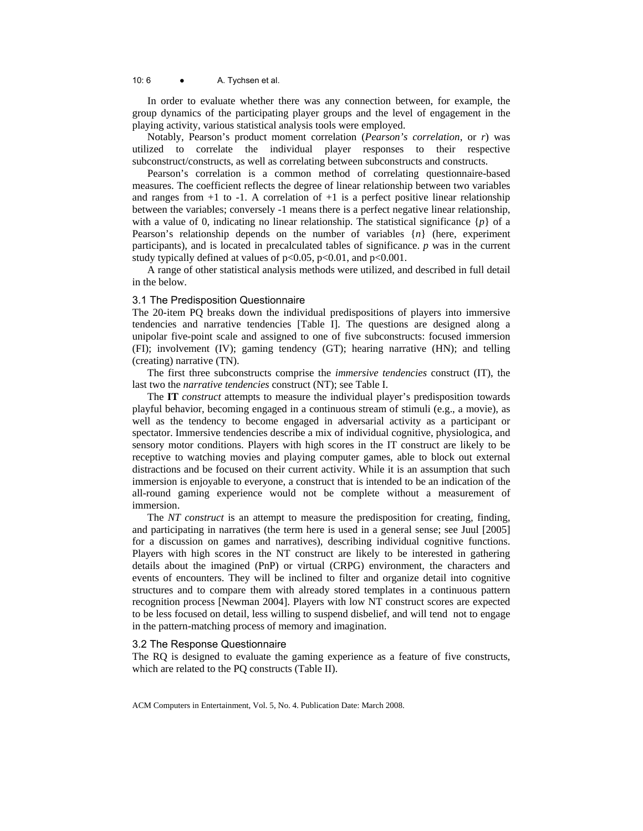#### 10: 6 ● A. Tychsen et al.

In order to evaluate whether there was any connection between, for example, the group dynamics of the participating player groups and the level of engagement in the playing activity, various statistical analysis tools were employed.

Notably, Pearson's product moment correlation (*Pearson's correlation*, or *r*) was utilized to correlate the individual player responses to their respective subconstruct/constructs, as well as correlating between subconstructs and constructs.

Pearson's correlation is a common method of correlating questionnaire-based measures. The coefficient reflects the degree of linear relationship between two variables and ranges from  $+1$  to  $-1$ . A correlation of  $+1$  is a perfect positive linear relationship between the variables; conversely -1 means there is a perfect negative linear relationship, with a value of 0, indicating no linear relationship. The statistical significance  $\{p\}$  of a Pearson's relationship depends on the number of variables {*n*} (here, experiment participants), and is located in precalculated tables of significance. *p* was in the current study typically defined at values of  $p<0.05$ ,  $p<0.01$ , and  $p<0.001$ .

A range of other statistical analysis methods were utilized, and described in full detail in the below.

## 3.1 The Predisposition Questionnaire

The 20-item PQ breaks down the individual predispositions of players into immersive tendencies and narrative tendencies [Table I]. The questions are designed along a unipolar five-point scale and assigned to one of five subconstructs: focused immersion (FI); involvement (IV); gaming tendency (GT); hearing narrative (HN); and telling (creating) narrative (TN).

The first three subconstructs comprise the *immersive tendencies* construct (IT), the last two the *narrative tendencies* construct (NT); see Table I.

The **IT** *construct* attempts to measure the individual player's predisposition towards playful behavior, becoming engaged in a continuous stream of stimuli (e.g., a movie), as well as the tendency to become engaged in adversarial activity as a participant or spectator. Immersive tendencies describe a mix of individual cognitive, physiologica, and sensory motor conditions. Players with high scores in the IT construct are likely to be receptive to watching movies and playing computer games, able to block out external distractions and be focused on their current activity. While it is an assumption that such immersion is enjoyable to everyone, a construct that is intended to be an indication of the all-round gaming experience would not be complete without a measurement of immersion.

The *NT construct* is an attempt to measure the predisposition for creating, finding, and participating in narratives (the term here is used in a general sense; see Juul [2005] for a discussion on games and narratives), describing individual cognitive functions. Players with high scores in the NT construct are likely to be interested in gathering details about the imagined (PnP) or virtual (CRPG) environment, the characters and events of encounters. They will be inclined to filter and organize detail into cognitive structures and to compare them with already stored templates in a continuous pattern recognition process [Newman 2004]. Players with low NT construct scores are expected to be less focused on detail, less willing to suspend disbelief, and will tend not to engage in the pattern-matching process of memory and imagination.

#### 3.2 The Response Questionnaire

The RQ is designed to evaluate the gaming experience as a feature of five constructs, which are related to the PQ constructs (Table II).

ACM Computers in Entertainment, Vol. 5, No. 4. Publication Date: March 2008.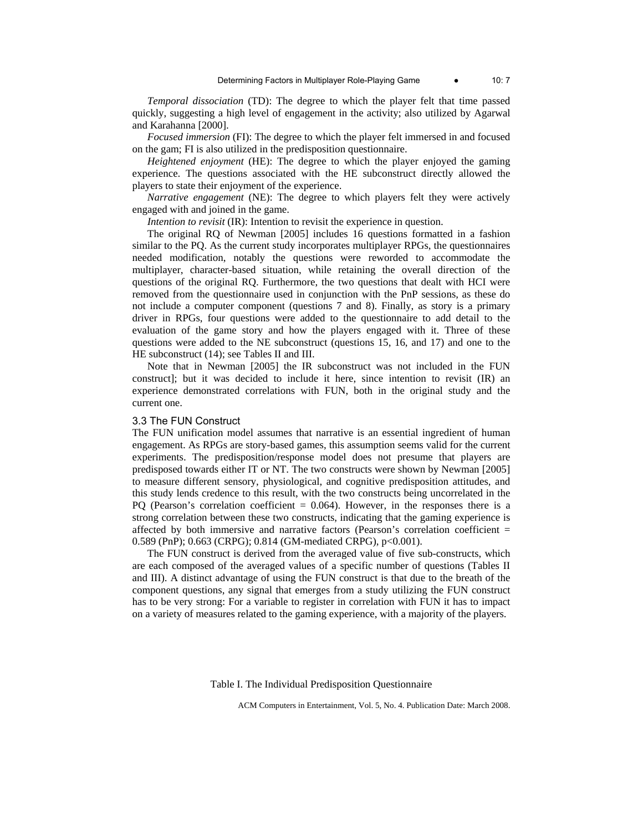*Temporal dissociation* (TD): The degree to which the player felt that time passed quickly, suggesting a high level of engagement in the activity; also utilized by Agarwal and Karahanna [2000].

*Focused immersion* (FI): The degree to which the player felt immersed in and focused on the gam; FI is also utilized in the predisposition questionnaire.

*Heightened enjoyment* (HE): The degree to which the player enjoyed the gaming experience. The questions associated with the HE subconstruct directly allowed the players to state their enjoyment of the experience.

*Narrative engagement* (NE): The degree to which players felt they were actively engaged with and joined in the game.

*Intention to revisit* (IR): Intention to revisit the experience in question.

The original RQ of Newman [2005] includes 16 questions formatted in a fashion similar to the PQ. As the current study incorporates multiplayer RPGs, the questionnaires needed modification, notably the questions were reworded to accommodate the multiplayer, character-based situation, while retaining the overall direction of the questions of the original RQ. Furthermore, the two questions that dealt with HCI were removed from the questionnaire used in conjunction with the PnP sessions, as these do not include a computer component (questions 7 and 8). Finally, as story is a primary driver in RPGs, four questions were added to the questionnaire to add detail to the evaluation of the game story and how the players engaged with it. Three of these questions were added to the NE subconstruct (questions 15, 16, and 17) and one to the HE subconstruct (14); see Tables II and III.

Note that in Newman [2005] the IR subconstruct was not included in the FUN construct]; but it was decided to include it here, since intention to revisit (IR) an experience demonstrated correlations with FUN, both in the original study and the current one.

## 3.3 The FUN Construct

The FUN unification model assumes that narrative is an essential ingredient of human engagement. As RPGs are story-based games, this assumption seems valid for the current experiments. The predisposition/response model does not presume that players are predisposed towards either IT or NT. The two constructs were shown by Newman [2005] to measure different sensory, physiological, and cognitive predisposition attitudes, and this study lends credence to this result, with the two constructs being uncorrelated in the PQ (Pearson's correlation coefficient  $= 0.064$ ). However, in the responses there is a strong correlation between these two constructs, indicating that the gaming experience is affected by both immersive and narrative factors (Pearson's correlation coefficient  $=$ 0.589 (PnP); 0.663 (CRPG); 0.814 (GM-mediated CRPG), p<0.001).

The FUN construct is derived from the averaged value of five sub-constructs, which are each composed of the averaged values of a specific number of questions (Tables II and III). A distinct advantage of using the FUN construct is that due to the breath of the component questions, any signal that emerges from a study utilizing the FUN construct has to be very strong: For a variable to register in correlation with FUN it has to impact on a variety of measures related to the gaming experience, with a majority of the players.

Table I. The Individual Predisposition Questionnaire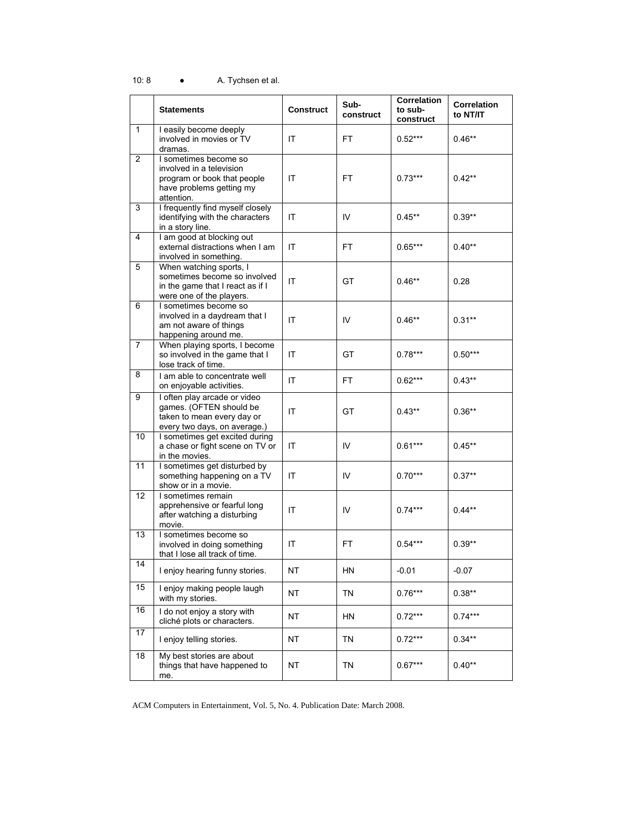# 10: 8 ● A. Tychsen et al.

|                | <b>Statements</b>                                                                                                          | <b>Construct</b> | Sub-<br>construct | <b>Correlation</b><br>to sub-<br>construct | Correlation<br>to NT/IT |
|----------------|----------------------------------------------------------------------------------------------------------------------------|------------------|-------------------|--------------------------------------------|-------------------------|
| 1              | I easily become deeply<br>involved in movies or TV<br>dramas.                                                              | ΙT               | FT.               | $0.52***$                                  | $0.46**$                |
| $\overline{2}$ | I sometimes become so<br>involved in a television<br>program or book that people<br>have problems getting my<br>attention. | ΙT               | FT.               | $0.73***$                                  | $0.42**$                |
| 3              | I frequently find myself closely<br>identifying with the characters<br>in a story line.                                    | IT               | IV                | $0.45**$                                   | $0.39**$                |
| 4              | I am good at blocking out<br>external distractions when I am<br>involved in something.                                     | IT               | FT.               | $0.65***$                                  | $0.40**$                |
| 5              | When watching sports, I<br>sometimes become so involved<br>in the game that I react as if I<br>were one of the players.    | ΙT               | GT                | $0.46**$                                   | 0.28                    |
| 6              | I sometimes become so<br>involved in a daydream that I<br>am not aware of things<br>happening around me.                   | IT               | IV                | $0.46**$                                   | $0.31**$                |
| $\overline{7}$ | When playing sports, I become<br>so involved in the game that I<br>lose track of time.                                     | ΙT               | GT                | $0.78***$                                  | $0.50***$               |
| 8              | I am able to concentrate well<br>on enjoyable activities.                                                                  | IT               | FT.               | $0.62***$                                  | $0.43**$                |
| 9              | I often play arcade or video<br>games. (OFTEN should be<br>taken to mean every day or<br>every two days, on average.)      | IT               | GT                | $0.43**$                                   | $0.36**$                |
| 10             | I sometimes get excited during<br>a chase or fight scene on TV or<br>in the movies.                                        | IT               | IV                | $0.61***$                                  | $0.45**$                |
| 11             | I sometimes get disturbed by<br>something happening on a TV<br>show or in a movie.                                         | ΙT               | IV                | $0.70***$                                  | $0.37***$               |
| 12             | I sometimes remain<br>apprehensive or fearful long<br>after watching a disturbing<br>movie.                                | IT               | IV                | $0.74***$                                  | $0.44**$                |
| 13             | I sometimes become so<br>involved in doing something<br>that I lose all track of time.                                     | IT               | FT.               | $0.54***$                                  | $0.39**$                |
| 14             | I enjoy hearing funny stories.                                                                                             | ΝT               | HN                | $-0.01$                                    | $-0.07$                 |
| 15             | I enjoy making people laugh<br>with my stories.                                                                            | <b>NT</b>        | <b>TN</b>         | $0.76***$                                  | $0.38**$                |
| 16             | I do not enjoy a story with<br>cliché plots or characters.                                                                 | <b>NT</b>        | HN                | $0.72***$                                  | $0.74***$               |
| 17             | I enjoy telling stories.                                                                                                   | ΝT               | ΤN                | $0.72***$                                  | $0.34***$               |
| 18             | My best stories are about<br>things that have happened to<br>me.                                                           | NΤ               | <b>TN</b>         | $0.67***$                                  | $0.40**$                |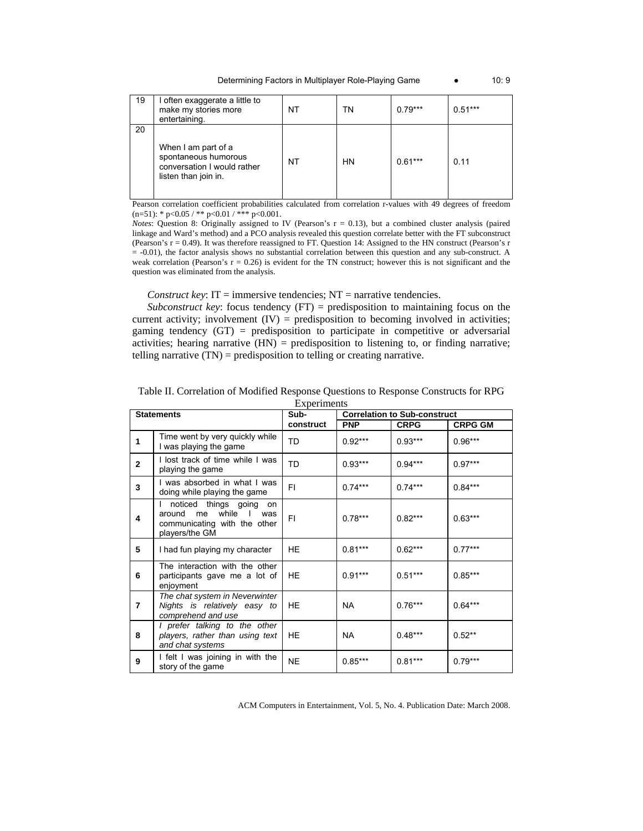Determining Factors in Multiplayer Role-Playing Game • 10: 9

| 19 | I often exaggerate a little to<br>make my stories more<br>entertaining.                            | NT | ΤN        | $0.79***$ | $0.51***$ |
|----|----------------------------------------------------------------------------------------------------|----|-----------|-----------|-----------|
| 20 | When I am part of a<br>spontaneous humorous<br>conversation I would rather<br>listen than join in. | NT | <b>HN</b> | $0.61***$ | 0.11      |

Pearson correlation coefficient probabilities calculated from correlation r-values with 49 degrees of freedom  $(n=51)$ : \* p<0.05 / \*\* p<0.01 / \*\*\* p<0.001.

*Notes*: Question 8: Originally assigned to IV (Pearson's r = 0.13), but a combined cluster analysis (paired linkage and Ward's method) and a PCO analysis revealed this question correlate better with the FT subconstruct (Pearson's r = 0.49). It was therefore reassigned to FT. Question 14: Assigned to the HN construct (Pearson's r  $= -0.01$ ), the factor analysis shows no substantial correlation between this question and any sub-construct. A weak correlation (Pearson's  $r = 0.26$ ) is evident for the TN construct; however this is not significant and the question was eliminated from the analysis.

## *Construct key*: IT = immersive tendencies; NT = narrative tendencies.

*Subconstruct key*: focus tendency (FT) = predisposition to maintaining focus on the current activity; involvement  $(IV)$  = predisposition to becoming involved in activities; gaming tendency (GT) = predisposition to participate in competitive or adversarial activities; hearing narrative  $(HN)$  = predisposition to listening to, or finding narrative; telling narrative (TN) = predisposition to telling or creating narrative.

|              | <b>Statements</b>                                                                                                       | Sub-      | <b>Correlation to Sub-construct</b> |             |                |
|--------------|-------------------------------------------------------------------------------------------------------------------------|-----------|-------------------------------------|-------------|----------------|
|              |                                                                                                                         | construct | <b>PNP</b>                          | <b>CRPG</b> | <b>CRPG GM</b> |
| 1            | Time went by very quickly while<br>I was playing the game                                                               | <b>TD</b> | $0.92***$                           | $0.93***$   | $0.96***$      |
| $\mathbf{2}$ | I lost track of time while I was<br>playing the game                                                                    | TD        | $0.93***$                           | $0.94***$   | $0.97***$      |
| 3            | I was absorbed in what I was<br>doing while playing the game                                                            | FI.       | $0.74***$                           | $0.74***$   | $0.84***$      |
| 4            | noticed things going<br>L<br>on<br>while<br>around<br>me<br>-1<br>was<br>communicating with the other<br>players/the GM | FI.       | $0.78***$                           | $0.82***$   | $0.63***$      |
| 5            | I had fun playing my character                                                                                          | HE        | $0.81***$                           | $0.62***$   | $0.77***$      |
| 6            | The interaction with the other<br>participants gave me a lot of<br>enjoyment                                            | <b>HE</b> | $0.91***$                           | $0.51***$   | $0.85***$      |
| 7            | The chat system in Neverwinter<br>Nights is relatively easy to<br>comprehend and use                                    | HE        | <b>NA</b>                           | $0.76***$   | $0.64***$      |
| 8            | I prefer talking to the other<br>players, rather than using text<br>and chat systems                                    | HE        | <b>NA</b>                           | $0.48***$   | $0.52**$       |
| 9            | I felt I was joining in with the<br>story of the game                                                                   | <b>NE</b> | $0.85***$                           | $0.81***$   | $0.79***$      |

| Table II. Correlation of Modified Response Questions to Response Constructs for RPG |
|-------------------------------------------------------------------------------------|
| Experiments                                                                         |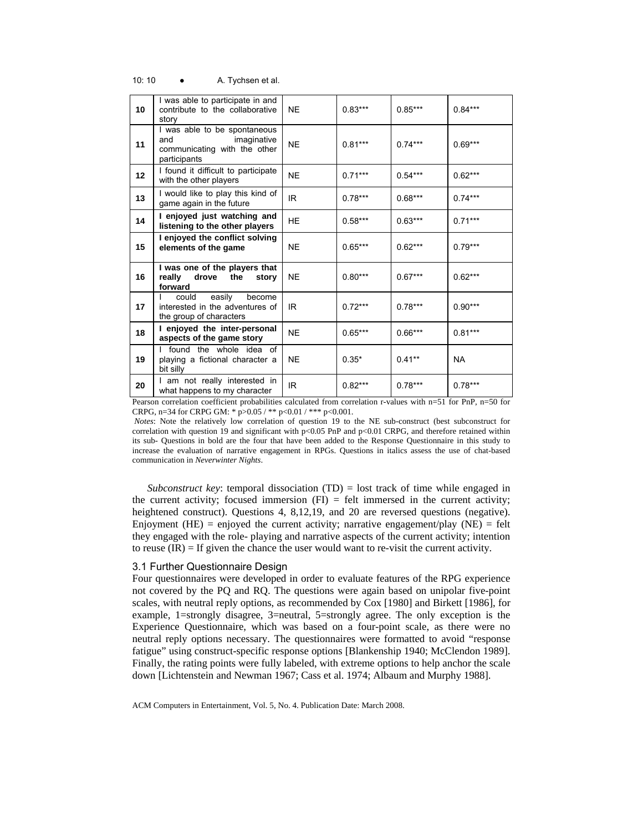#### 10: 10 ● A. Tychsen et al.

| 10              | I was able to participate in and<br>contribute to the collaborative<br>story                       | <b>NE</b> | $0.83***$ | $0.85***$ | $0.84***$ |
|-----------------|----------------------------------------------------------------------------------------------------|-----------|-----------|-----------|-----------|
| 11              | I was able to be spontaneous<br>imaginative<br>and<br>communicating with the other<br>participants | <b>NE</b> | $0.81***$ | $0.74***$ | $0.69***$ |
| 12 <sup>2</sup> | I found it difficult to participate<br>with the other players                                      | <b>NE</b> | $0.71***$ | $0.54***$ | $0.62***$ |
| 13              | I would like to play this kind of<br>game again in the future                                      | IR.       | $0.78***$ | $0.68***$ | $0.74***$ |
| 14              | I enjoyed just watching and<br>listening to the other players                                      | <b>HE</b> | $0.58***$ | $0.63***$ | $0.71***$ |
| 15              | I enjoyed the conflict solving<br>elements of the game                                             | <b>NE</b> | $0.65***$ | $0.62***$ | $0.79***$ |
| 16              | I was one of the players that<br>drove<br>the<br>really<br>story<br>forward                        | <b>NE</b> | $0.80***$ | $0.67***$ | $0.62***$ |
| 17              | could<br>easily<br>become<br>interested in the adventures of<br>the group of characters            | IR.       | $0.72***$ | $0.78***$ | $0.90***$ |
| 18              | I enjoyed the inter-personal<br>aspects of the game story                                          | <b>NE</b> | $0.65***$ | $0.66***$ | $0.81***$ |
| 19              | I found the whole idea of<br>playing a fictional character a<br>bit silly                          | <b>NE</b> | $0.35*$   | $0.41**$  | <b>NA</b> |
| 20              | I am not really interested in<br>what happens to my character                                      | IR.       | $0.82***$ | $0.78***$ | $0.78***$ |

Pearson correlation coefficient probabilities calculated from correlation r-values with n=51 for PnP, n=50 for CRPG, n=34 for CRPG GM: \* p>0.05 / \*\* p<0.01 / \*\*\* p<0.001.

*Notes*: Note the relatively low correlation of question 19 to the NE sub-construct (best subconstruct for correlation with question 19 and significant with  $p<0.05$  PnP and  $p<0.01$  CRPG, and therefore retained within its sub- Questions in bold are the four that have been added to the Response Questionnaire in this study to increase the evaluation of narrative engagement in RPGs. Questions in italics assess the use of chat-based communication in *Neverwinter Nights*.

*Subconstruct key*: temporal dissociation (TD) = lost track of time while engaged in the current activity; focused immersion  $(FI) = felt$  immersed in the current activity; heightened construct). Questions 4, 8,12,19, and 20 are reversed questions (negative). Enjoyment (HE) = enjoyed the current activity; narrative engagement/play (NE) = felt they engaged with the role- playing and narrative aspects of the current activity; intention to reuse  $(IR) = If given the chance the user would want to re-visit the current activity.$ 

## 3.1 Further Questionnaire Design

Four questionnaires were developed in order to evaluate features of the RPG experience not covered by the PQ and RQ. The questions were again based on unipolar five-point scales, with neutral reply options, as recommended by Cox [1980] and Birkett [1986], for example, 1=strongly disagree, 3=neutral, 5=strongly agree. The only exception is the Experience Questionnaire, which was based on a four-point scale, as there were no neutral reply options necessary. The questionnaires were formatted to avoid "response fatigue" using construct-specific response options [Blankenship 1940; McClendon 1989]. Finally, the rating points were fully labeled, with extreme options to help anchor the scale down [Lichtenstein and Newman 1967; Cass et al. 1974; Albaum and Murphy 1988].

ACM Computers in Entertainment, Vol. 5, No. 4. Publication Date: March 2008.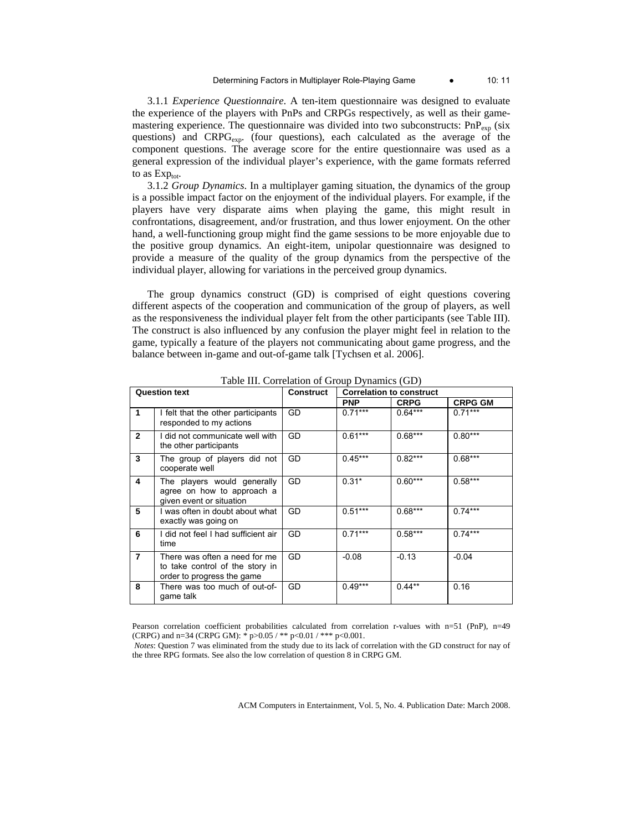3.1.1 *Experience Questionnaire*. A ten-item questionnaire was designed to evaluate the experience of the players with PnPs and CRPGs respectively, as well as their gamemastering experience. The questionnaire was divided into two subconstructs:  $PnP_{\text{exp}}$  (six questions) and CRPG<sub>exp</sub>. (four questions), each calculated as the average of the component questions. The average score for the entire questionnaire was used as a general expression of the individual player's experience, with the game formats referred to as  $Exp_{tot}$ .

3.1.2 *Group Dynamics*. In a multiplayer gaming situation, the dynamics of the group is a possible impact factor on the enjoyment of the individual players. For example, if the players have very disparate aims when playing the game, this might result in confrontations, disagreement, and/or frustration, and thus lower enjoyment. On the other hand, a well-functioning group might find the game sessions to be more enjoyable due to the positive group dynamics. An eight-item, unipolar questionnaire was designed to provide a measure of the quality of the group dynamics from the perspective of the individual player, allowing for variations in the perceived group dynamics.

The group dynamics construct (GD) is comprised of eight questions covering different aspects of the cooperation and communication of the group of players, as well as the responsiveness the individual player felt from the other participants (see Table III). The construct is also influenced by any confusion the player might feel in relation to the game, typically a feature of the players not communicating about game progress, and the balance between in-game and out-of-game talk [Tychsen et al. 2006].

|                | <b>Question text</b>                                                                           | <b>Construct</b> | <b>Correlation to construct</b> |             |                |
|----------------|------------------------------------------------------------------------------------------------|------------------|---------------------------------|-------------|----------------|
|                |                                                                                                |                  | <b>PNP</b>                      | <b>CRPG</b> | <b>CRPG GM</b> |
| 1              | I felt that the other participants<br>responded to my actions                                  | GD               | $0.71***$                       | $0.64***$   | $0.71***$      |
| $\overline{2}$ | did not communicate well with<br>the other participants                                        | GD               | $0.61***$                       | $0.68***$   | $0.80***$      |
| 3              | The group of players did not<br>cooperate well                                                 | GD               | $0.45***$                       | $0.82***$   | $0.68***$      |
| 4              | The players would generally<br>agree on how to approach a<br>given event or situation          | GD               | $0.31*$                         | $0.60***$   | $0.58***$      |
| 5              | I was often in doubt about what<br>exactly was going on                                        | GD               | $0.51***$                       | $0.68***$   | $0.74***$      |
| 6              | I did not feel I had sufficient air<br>time                                                    | GD               | $0.71***$                       | $0.58***$   | $0.74***$      |
| $\overline{7}$ | There was often a need for me<br>to take control of the story in<br>order to progress the game | GD               | $-0.08$                         | $-0.13$     | $-0.04$        |
| 8              | There was too much of out-of-<br>game talk                                                     | GD               | $0.49***$                       | $0.44**$    | 0.16           |

Table III. Correlation of Group Dynamics (GD)

Pearson correlation coefficient probabilities calculated from correlation r-values with n=51 (PnP), n=49 (CRPG) and n=34 (CRPG GM):  $\ast$  p>0.05 /  $\ast\ast$  p<0.01 /  $\ast\ast\ast$  p<0.001.

*Notes*: Question 7 was eliminated from the study due to its lack of correlation with the GD construct for nay of the three RPG formats. See also the low correlation of question 8 in CRPG GM.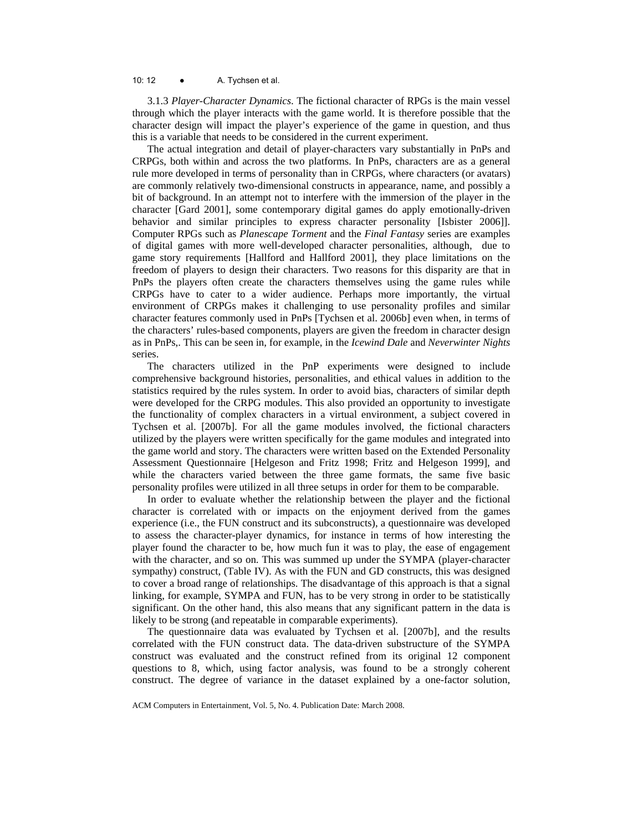#### 10: 12 ● A. Tychsen et al.

3.1.3 *Player-Character Dynamics*. The fictional character of RPGs is the main vessel through which the player interacts with the game world. It is therefore possible that the character design will impact the player's experience of the game in question, and thus this is a variable that needs to be considered in the current experiment.

The actual integration and detail of player-characters vary substantially in PnPs and CRPGs, both within and across the two platforms. In PnPs, characters are as a general rule more developed in terms of personality than in CRPGs, where characters (or avatars) are commonly relatively two-dimensional constructs in appearance, name, and possibly a bit of background. In an attempt not to interfere with the immersion of the player in the character [Gard 2001], some contemporary digital games do apply emotionally-driven behavior and similar principles to express character personality [Isbister 2006]]. Computer RPGs such as *Planescape Torment* and the *Final Fantasy* series are examples of digital games with more well-developed character personalities, although, due to game story requirements [Hallford and Hallford 2001], they place limitations on the freedom of players to design their characters. Two reasons for this disparity are that in PnPs the players often create the characters themselves using the game rules while CRPGs have to cater to a wider audience. Perhaps more importantly, the virtual environment of CRPGs makes it challenging to use personality profiles and similar character features commonly used in PnPs [Tychsen et al. 2006b] even when, in terms of the characters' rules-based components, players are given the freedom in character design as in PnPs,. This can be seen in, for example, in the *Icewind Dale* and *Neverwinter Nights*  series.

The characters utilized in the PnP experiments were designed to include comprehensive background histories, personalities, and ethical values in addition to the statistics required by the rules system. In order to avoid bias, characters of similar depth were developed for the CRPG modules. This also provided an opportunity to investigate the functionality of complex characters in a virtual environment, a subject covered in Tychsen et al. [2007b]. For all the game modules involved, the fictional characters utilized by the players were written specifically for the game modules and integrated into the game world and story. The characters were written based on the Extended Personality Assessment Questionnaire [Helgeson and Fritz 1998; Fritz and Helgeson 1999], and while the characters varied between the three game formats, the same five basic personality profiles were utilized in all three setups in order for them to be comparable.

In order to evaluate whether the relationship between the player and the fictional character is correlated with or impacts on the enjoyment derived from the games experience (i.e., the FUN construct and its subconstructs), a questionnaire was developed to assess the character-player dynamics, for instance in terms of how interesting the player found the character to be, how much fun it was to play, the ease of engagement with the character, and so on. This was summed up under the SYMPA (player-character sympathy) construct, (Table IV). As with the FUN and GD constructs, this was designed to cover a broad range of relationships. The disadvantage of this approach is that a signal linking, for example, SYMPA and FUN, has to be very strong in order to be statistically significant. On the other hand, this also means that any significant pattern in the data is likely to be strong (and repeatable in comparable experiments).

The questionnaire data was evaluated by Tychsen et al. [2007b], and the results correlated with the FUN construct data. The data-driven substructure of the SYMPA construct was evaluated and the construct refined from its original 12 component questions to 8, which, using factor analysis, was found to be a strongly coherent construct. The degree of variance in the dataset explained by a one-factor solution,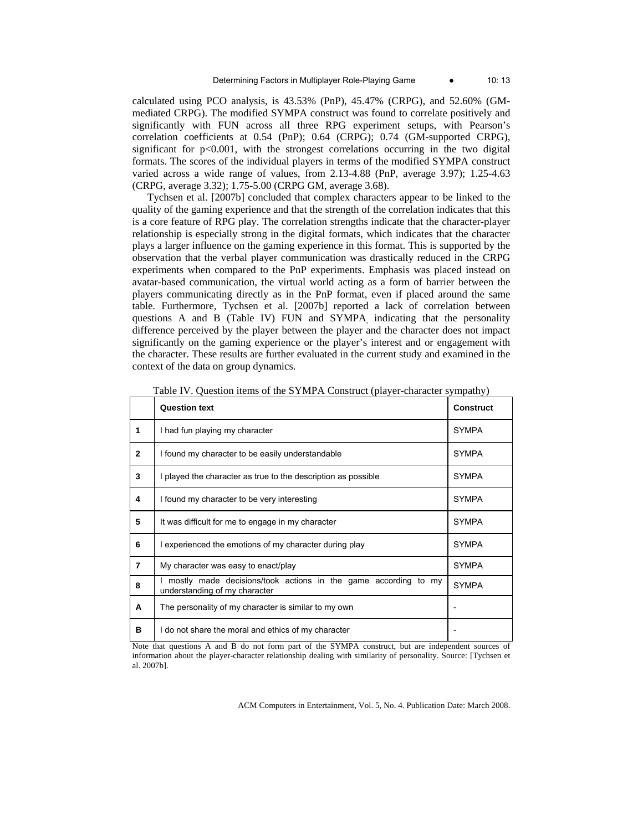calculated using PCO analysis, is 43.53% (PnP), 45.47% (CRPG), and 52.60% (GMmediated CRPG). The modified SYMPA construct was found to correlate positively and significantly with FUN across all three RPG experiment setups, with Pearson's correlation coefficients at 0.54 (PnP); 0.64 (CRPG); 0.74 (GM-supported CRPG), significant for  $p<0.001$ , with the strongest correlations occurring in the two digital formats. The scores of the individual players in terms of the modified SYMPA construct varied across a wide range of values, from 2.13-4.88 (PnP, average 3.97); 1.25-4.63 (CRPG, average 3.32); 1.75-5.00 (CRPG GM, average 3.68).

Tychsen et al. [2007b] concluded that complex characters appear to be linked to the quality of the gaming experience and that the strength of the correlation indicates that this is a core feature of RPG play. The correlation strengths indicate that the character-player relationship is especially strong in the digital formats, which indicates that the character plays a larger influence on the gaming experience in this format. This is supported by the observation that the verbal player communication was drastically reduced in the CRPG experiments when compared to the PnP experiments. Emphasis was placed instead on avatar-based communication, the virtual world acting as a form of barrier between the players communicating directly as in the PnP format, even if placed around the same table. Furthermore, Tychsen et al. [2007b] reported a lack of correlation between questions A and B (Table IV) FUN and SYMPA, indicating that the personality difference perceived by the player between the player and the character does not impact significantly on the gaming experience or the player's interest and or engagement with the character. These results are further evaluated in the current study and examined in the context of the data on group dynamics.

|              | <b>Question text</b>                                                                            | <b>Construct</b> |
|--------------|-------------------------------------------------------------------------------------------------|------------------|
| 1            | I had fun playing my character                                                                  | <b>SYMPA</b>     |
| $\mathbf{2}$ | I found my character to be easily understandable                                                | <b>SYMPA</b>     |
| 3            | played the character as true to the description as possible                                     | <b>SYMPA</b>     |
| 4            | I found my character to be very interesting                                                     | <b>SYMPA</b>     |
| 5            | It was difficult for me to engage in my character                                               | <b>SYMPA</b>     |
| 6            | I experienced the emotions of my character during play                                          | <b>SYMPA</b>     |
| 7            | My character was easy to enact/play                                                             | <b>SYMPA</b>     |
| 8            | mostly made decisions/took actions in the game according to my<br>understanding of my character | <b>SYMPA</b>     |
| A            | The personality of my character is similar to my own                                            |                  |
| в            | do not share the moral and ethics of my character                                               |                  |

Table IV. Question items of the SYMPA Construct (player-character sympathy)

Note that questions A and B do not form part of the SYMPA construct, but are independent sources of information about the player-character relationship dealing with similarity of personality. Source: [Tychsen et al. 2007b].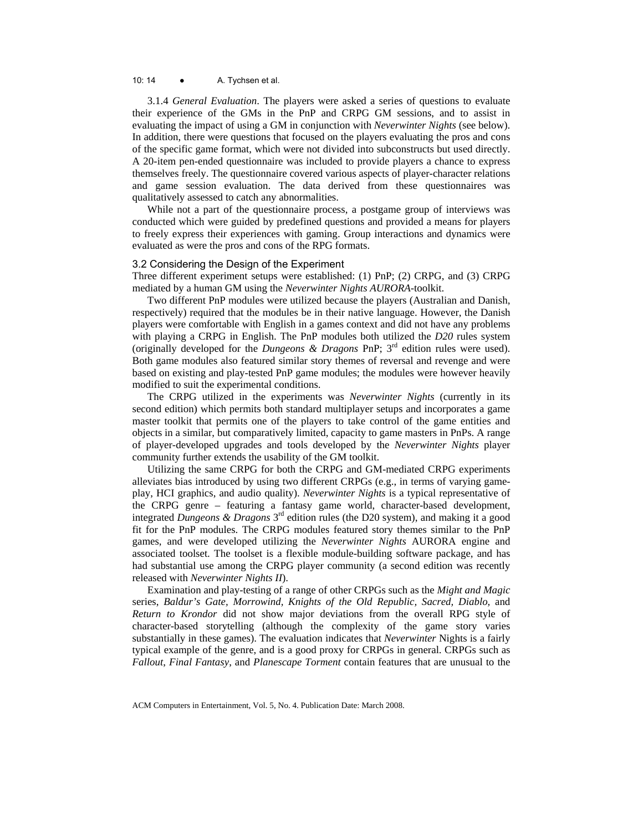#### 10: 14 ● A. Tychsen et al.

3.1.4 *General Evaluation*. The players were asked a series of questions to evaluate their experience of the GMs in the PnP and CRPG GM sessions, and to assist in evaluating the impact of using a GM in conjunction with *Neverwinter Nights* (see below). In addition, there were questions that focused on the players evaluating the pros and cons of the specific game format, which were not divided into subconstructs but used directly. A 20-item pen-ended questionnaire was included to provide players a chance to express themselves freely. The questionnaire covered various aspects of player-character relations and game session evaluation. The data derived from these questionnaires was qualitatively assessed to catch any abnormalities.

While not a part of the questionnaire process, a postgame group of interviews was conducted which were guided by predefined questions and provided a means for players to freely express their experiences with gaming. Group interactions and dynamics were evaluated as were the pros and cons of the RPG formats.

#### 3.2 Considering the Design of the Experiment

Three different experiment setups were established: (1) PnP; (2) CRPG, and (3) CRPG mediated by a human GM using the *Neverwinter Nights AURORA*-toolkit.

Two different PnP modules were utilized because the players (Australian and Danish, respectively) required that the modules be in their native language. However, the Danish players were comfortable with English in a games context and did not have any problems with playing a CRPG in English. The PnP modules both utilized the *D20* rules system (originally developed for the *Dungeons & Dragons* PnP; 3rd edition rules were used). Both game modules also featured similar story themes of reversal and revenge and were based on existing and play-tested PnP game modules; the modules were however heavily modified to suit the experimental conditions.

The CRPG utilized in the experiments was *Neverwinter Nights* (currently in its second edition) which permits both standard multiplayer setups and incorporates a game master toolkit that permits one of the players to take control of the game entities and objects in a similar, but comparatively limited, capacity to game masters in PnPs. A range of player-developed upgrades and tools developed by the *Neverwinter Nights* player community further extends the usability of the GM toolkit.

Utilizing the same CRPG for both the CRPG and GM-mediated CRPG experiments alleviates bias introduced by using two different CRPGs (e.g., in terms of varying gameplay, HCI graphics, and audio quality). *Neverwinter Nights* is a typical representative of the CRPG genre – featuring a fantasy game world, character-based development, integrated *Dungeons & Dragons* 3rd edition rules (the D20 system), and making it a good fit for the PnP modules. The CRPG modules featured story themes similar to the PnP games, and were developed utilizing the *Neverwinter Nights* AURORA engine and associated toolset. The toolset is a flexible module-building software package, and has had substantial use among the CRPG player community (a second edition was recently released with *Neverwinter Nights II*).

Examination and play-testing of a range of other CRPGs such as the *Might and Magic* series, *Baldur's Gate, Morrowind, Knights of the Old Republic, Sacred, Diablo,* and *Return to Krondor* did not show major deviations from the overall RPG style of character-based storytelling (although the complexity of the game story varies substantially in these games). The evaluation indicates that *Neverwinter* Nights is a fairly typical example of the genre, and is a good proxy for CRPGs in general. CRPGs such as *Fallout*, *Final Fantasy*, and *Planescape Torment* contain features that are unusual to the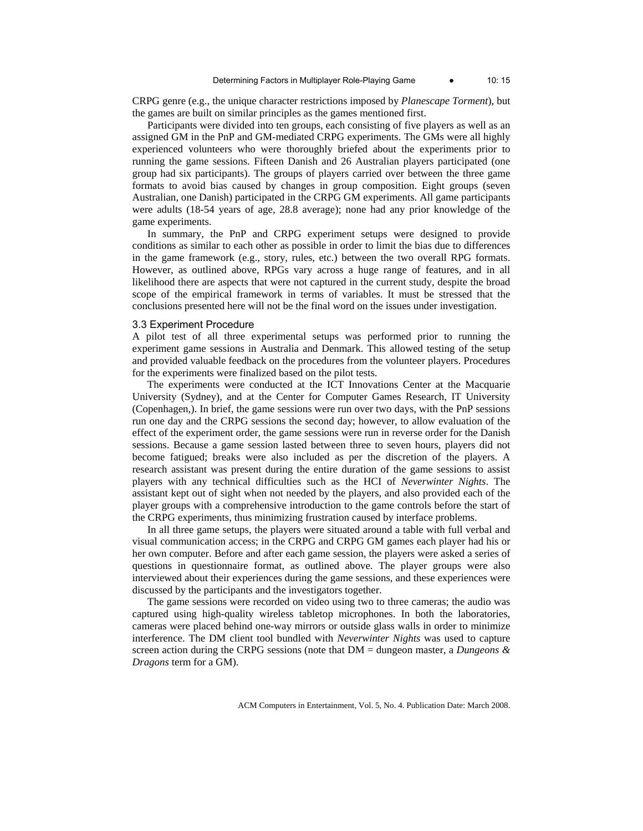CRPG genre (e.g., the unique character restrictions imposed by *Planescape Torment*), but the games are built on similar principles as the games mentioned first.

Participants were divided into ten groups, each consisting of five players as well as an assigned GM in the PnP and GM-mediated CRPG experiments. The GMs were all highly experienced volunteers who were thoroughly briefed about the experiments prior to running the game sessions. Fifteen Danish and 26 Australian players participated (one group had six participants). The groups of players carried over between the three game formats to avoid bias caused by changes in group composition. Eight groups (seven Australian, one Danish) participated in the CRPG GM experiments. All game participants were adults (18-54 years of age, 28.8 average); none had any prior knowledge of the game experiments.

In summary, the PnP and CRPG experiment setups were designed to provide conditions as similar to each other as possible in order to limit the bias due to differences in the game framework (e.g., story, rules, etc.) between the two overall RPG formats. However, as outlined above, RPGs vary across a huge range of features, and in all likelihood there are aspects that were not captured in the current study, despite the broad scope of the empirical framework in terms of variables. It must be stressed that the conclusions presented here will not be the final word on the issues under investigation.

## 3.3 Experiment Procedure

A pilot test of all three experimental setups was performed prior to running the experiment game sessions in Australia and Denmark. This allowed testing of the setup and provided valuable feedback on the procedures from the volunteer players. Procedures for the experiments were finalized based on the pilot tests.

The experiments were conducted at the ICT Innovations Center at the Macquarie University (Sydney), and at the Center for Computer Games Research, IT University (Copenhagen,). In brief, the game sessions were run over two days, with the PnP sessions run one day and the CRPG sessions the second day; however, to allow evaluation of the effect of the experiment order, the game sessions were run in reverse order for the Danish sessions. Because a game session lasted between three to seven hours, players did not become fatigued; breaks were also included as per the discretion of the players. A research assistant was present during the entire duration of the game sessions to assist players with any technical difficulties such as the HCI of *Neverwinter Nights*. The assistant kept out of sight when not needed by the players, and also provided each of the player groups with a comprehensive introduction to the game controls before the start of the CRPG experiments, thus minimizing frustration caused by interface problems.

In all three game setups, the players were situated around a table with full verbal and visual communication access; in the CRPG and CRPG GM games each player had his or her own computer. Before and after each game session, the players were asked a series of questions in questionnaire format, as outlined above. The player groups were also interviewed about their experiences during the game sessions, and these experiences were discussed by the participants and the investigators together.

The game sessions were recorded on video using two to three cameras; the audio was captured using high-quality wireless tabletop microphones. In both the laboratories, cameras were placed behind one-way mirrors or outside glass walls in order to minimize interference. The DM client tool bundled with *Neverwinter Nights* was used to capture screen action during the CRPG sessions (note that DM = dungeon master, a *Dungeons & Dragons* term for a GM).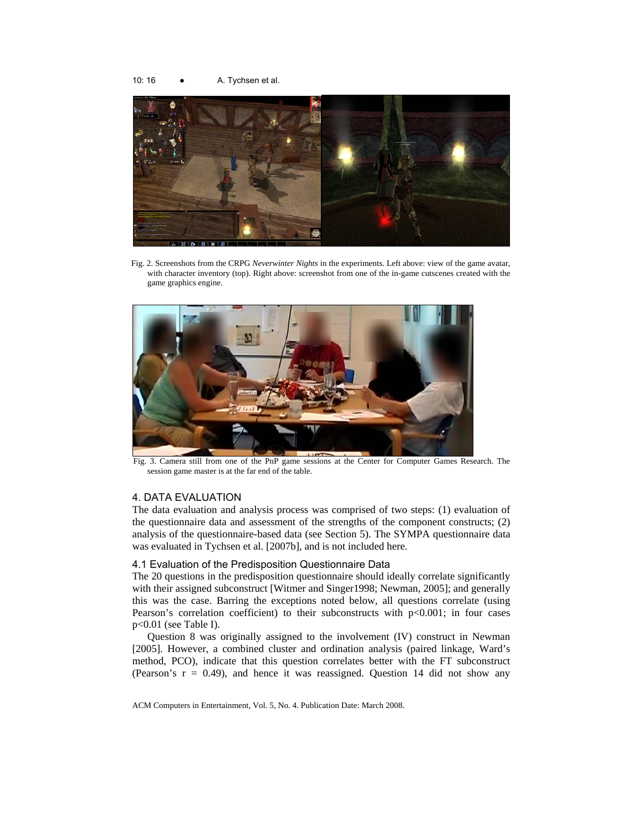#### 10: 16 ● A. Tychsen et al.



Fig. 2. Screenshots from the CRPG *Neverwinter Nights* in the experiments. Left above: view of the game avatar, with character inventory (top). Right above: screenshot from one of the in-game cutscenes created with the game graphics engine.



Fig. 3. Camera still from one of the PnP game sessions at the Center for Computer Games Research. The session game master is at the far end of the table.

## 4. DATA EVALUATION

The data evaluation and analysis process was comprised of two steps: (1) evaluation of the questionnaire data and assessment of the strengths of the component constructs; (2) analysis of the questionnaire-based data (see Section 5). The SYMPA questionnaire data was evaluated in Tychsen et al. [2007b], and is not included here.

## 4.1 Evaluation of the Predisposition Questionnaire Data

The 20 questions in the predisposition questionnaire should ideally correlate significantly with their assigned subconstruct [Witmer and Singer1998; Newman, 2005]; and generally this was the case. Barring the exceptions noted below, all questions correlate (using Pearson's correlation coefficient) to their subconstructs with p<0.001; in four cases p<0.01 (see Table I).

Question 8 was originally assigned to the involvement (IV) construct in Newman [2005]. However, a combined cluster and ordination analysis (paired linkage, Ward's method, PCO), indicate that this question correlates better with the FT subconstruct (Pearson's  $r = 0.49$ ), and hence it was reassigned. Question 14 did not show any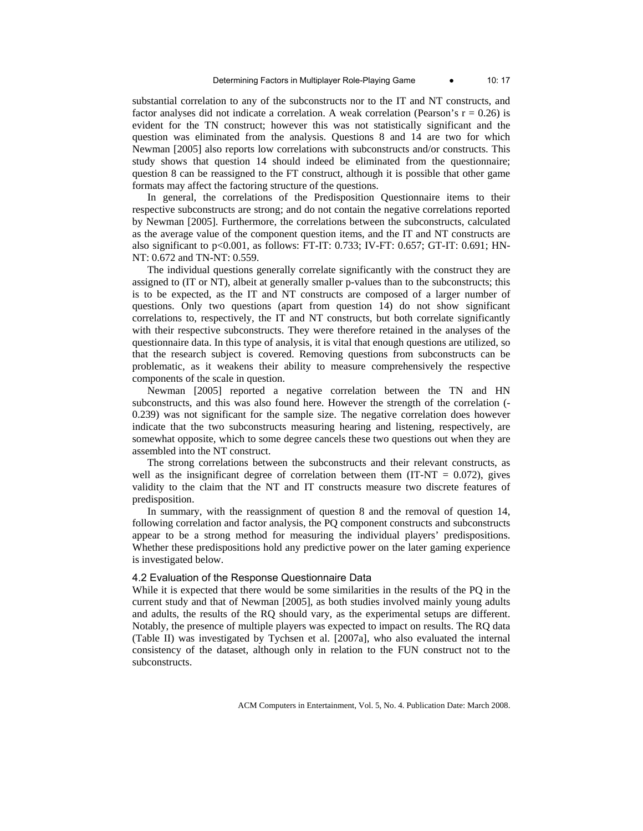substantial correlation to any of the subconstructs nor to the IT and NT constructs, and factor analyses did not indicate a correlation. A weak correlation (Pearson's  $r = 0.26$ ) is evident for the TN construct; however this was not statistically significant and the question was eliminated from the analysis. Questions 8 and 14 are two for which Newman [2005] also reports low correlations with subconstructs and/or constructs. This study shows that question 14 should indeed be eliminated from the questionnaire; question 8 can be reassigned to the FT construct, although it is possible that other game formats may affect the factoring structure of the questions.

In general, the correlations of the Predisposition Questionnaire items to their respective subconstructs are strong; and do not contain the negative correlations reported by Newman [2005]. Furthermore, the correlations between the subconstructs, calculated as the average value of the component question items, and the IT and NT constructs are also significant to p<0.001, as follows: FT-IT: 0.733; IV-FT: 0.657; GT-IT: 0.691; HN-NT: 0.672 and TN-NT: 0.559.

The individual questions generally correlate significantly with the construct they are assigned to (IT or NT), albeit at generally smaller p-values than to the subconstructs; this is to be expected, as the IT and NT constructs are composed of a larger number of questions. Only two questions (apart from question 14) do not show significant correlations to, respectively, the IT and NT constructs, but both correlate significantly with their respective subconstructs. They were therefore retained in the analyses of the questionnaire data. In this type of analysis, it is vital that enough questions are utilized, so that the research subject is covered. Removing questions from subconstructs can be problematic, as it weakens their ability to measure comprehensively the respective components of the scale in question.

Newman [2005] reported a negative correlation between the TN and HN subconstructs, and this was also found here. However the strength of the correlation (- 0.239) was not significant for the sample size. The negative correlation does however indicate that the two subconstructs measuring hearing and listening, respectively, are somewhat opposite, which to some degree cancels these two questions out when they are assembled into the NT construct.

The strong correlations between the subconstructs and their relevant constructs, as well as the insignificant degree of correlation between them  $(IT-NT = 0.072)$ , gives validity to the claim that the NT and IT constructs measure two discrete features of predisposition.

In summary, with the reassignment of question 8 and the removal of question 14, following correlation and factor analysis, the PQ component constructs and subconstructs appear to be a strong method for measuring the individual players' predispositions. Whether these predispositions hold any predictive power on the later gaming experience is investigated below.

## 4.2 Evaluation of the Response Questionnaire Data

While it is expected that there would be some similarities in the results of the PQ in the current study and that of Newman [2005], as both studies involved mainly young adults and adults, the results of the RQ should vary, as the experimental setups are different. Notably, the presence of multiple players was expected to impact on results. The RQ data (Table II) was investigated by Tychsen et al. [2007a], who also evaluated the internal consistency of the dataset, although only in relation to the FUN construct not to the subconstructs.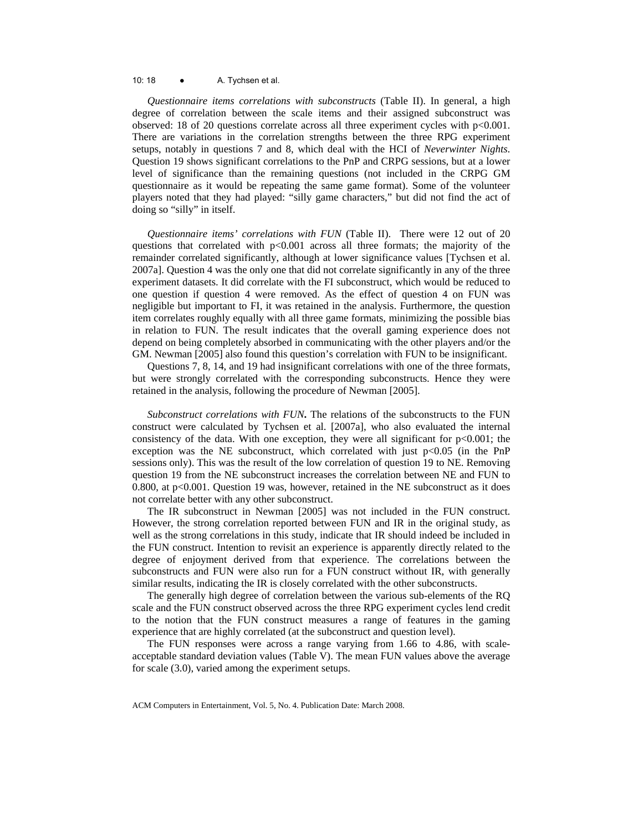#### 10: 18 ● A. Tychsen et al.

*Questionnaire items correlations with subconstructs* (Table II). In general, a high degree of correlation between the scale items and their assigned subconstruct was observed: 18 of 20 questions correlate across all three experiment cycles with  $p<0.001$ . There are variations in the correlation strengths between the three RPG experiment setups, notably in questions 7 and 8, which deal with the HCI of *Neverwinter Nights*. Question 19 shows significant correlations to the PnP and CRPG sessions, but at a lower level of significance than the remaining questions (not included in the CRPG GM questionnaire as it would be repeating the same game format). Some of the volunteer players noted that they had played: "silly game characters," but did not find the act of doing so "silly" in itself.

*Questionnaire items' correlations with FUN* (Table II).There were 12 out of 20 questions that correlated with  $p<0.001$  across all three formats; the majority of the remainder correlated significantly, although at lower significance values [Tychsen et al. 2007a]. Question 4 was the only one that did not correlate significantly in any of the three experiment datasets. It did correlate with the FI subconstruct, which would be reduced to one question if question 4 were removed. As the effect of question 4 on FUN was negligible but important to FI, it was retained in the analysis. Furthermore, the question item correlates roughly equally with all three game formats, minimizing the possible bias in relation to FUN. The result indicates that the overall gaming experience does not depend on being completely absorbed in communicating with the other players and/or the GM. Newman [2005] also found this question's correlation with FUN to be insignificant.

Questions 7, 8, 14, and 19 had insignificant correlations with one of the three formats, but were strongly correlated with the corresponding subconstructs. Hence they were retained in the analysis, following the procedure of Newman [2005].

*Subconstruct correlations with FUN***.** The relations of the subconstructs to the FUN construct were calculated by Tychsen et al. [2007a], who also evaluated the internal consistency of the data. With one exception, they were all significant for  $p<0.001$ ; the exception was the NE subconstruct, which correlated with just  $p<0.05$  (in the PnP sessions only). This was the result of the low correlation of question 19 to NE. Removing question 19 from the NE subconstruct increases the correlation between NE and FUN to 0.800, at p<0.001. Question 19 was, however, retained in the NE subconstruct as it does not correlate better with any other subconstruct.

The IR subconstruct in Newman [2005] was not included in the FUN construct. However, the strong correlation reported between FUN and IR in the original study, as well as the strong correlations in this study, indicate that IR should indeed be included in the FUN construct. Intention to revisit an experience is apparently directly related to the degree of enjoyment derived from that experience. The correlations between the subconstructs and FUN were also run for a FUN construct without IR, with generally similar results, indicating the IR is closely correlated with the other subconstructs.

The generally high degree of correlation between the various sub-elements of the RQ scale and the FUN construct observed across the three RPG experiment cycles lend credit to the notion that the FUN construct measures a range of features in the gaming experience that are highly correlated (at the subconstruct and question level).

The FUN responses were across a range varying from 1.66 to 4.86, with scaleacceptable standard deviation values (Table V). The mean FUN values above the average for scale (3.0), varied among the experiment setups.

ACM Computers in Entertainment, Vol. 5, No. 4. Publication Date: March 2008.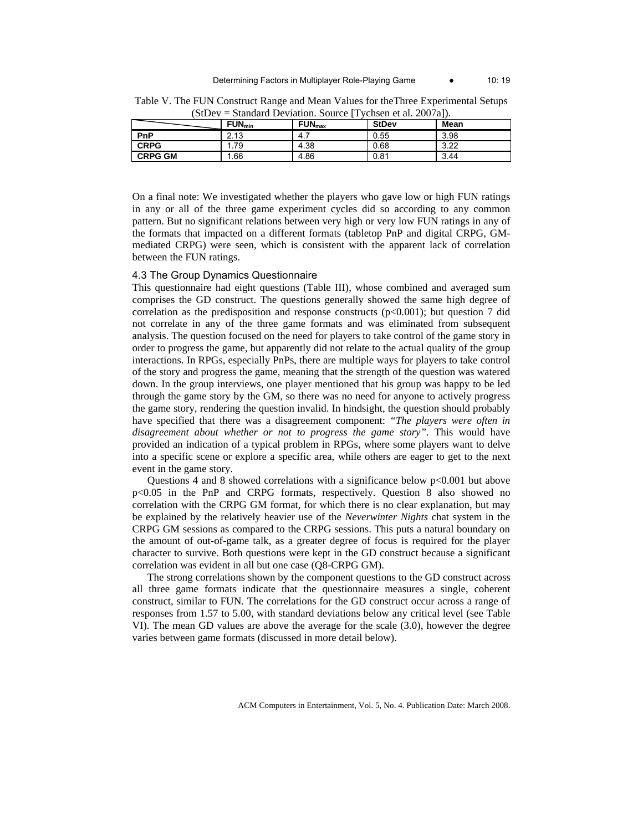|                | $FUN_{min}$ | $FUN_{max}$ | <b>StDev</b> | Mean |
|----------------|-------------|-------------|--------------|------|
| PnP            | 2.13        | 4.7         | 0.55         | 3.98 |
| <b>CRPG</b>    | .79         | 4.38        | 0.68         | 3.22 |
| <b>CRPG GM</b> | 1.66        | 4.86        | 0.81         | 3.44 |

Table V. The FUN Construct Range and Mean Values for theThree Experimental Setups  $(StDev = Standard Deviation$ . Source [Tychsen et al. 2007a]).

On a final note: We investigated whether the players who gave low or high FUN ratings in any or all of the three game experiment cycles did so according to any common pattern. But no significant relations between very high or very low FUN ratings in any of the formats that impacted on a different formats (tabletop PnP and digital CRPG, GMmediated CRPG) were seen, which is consistent with the apparent lack of correlation between the FUN ratings.

## 4.3 The Group Dynamics Questionnaire

This questionnaire had eight questions (Table III), whose combined and averaged sum comprises the GD construct. The questions generally showed the same high degree of correlation as the predisposition and response constructs (p<0.001); but question 7 did not correlate in any of the three game formats and was eliminated from subsequent analysis. The question focused on the need for players to take control of the game story in order to progress the game, but apparently did not relate to the actual quality of the group interactions. In RPGs, especially PnPs, there are multiple ways for players to take control of the story and progress the game, meaning that the strength of the question was watered down. In the group interviews, one player mentioned that his group was happy to be led through the game story by the GM, so there was no need for anyone to actively progress the game story, rendering the question invalid. In hindsight, the question should probably have specified that there was a disagreement component: *"The players were often in disagreement about whether or not to progress the game story"*. This would have provided an indication of a typical problem in RPGs, where some players want to delve into a specific scene or explore a specific area, while others are eager to get to the next event in the game story.

Questions 4 and 8 showed correlations with a significance below p<0.001 but above p<0.05 in the PnP and CRPG formats, respectively. Question 8 also showed no correlation with the CRPG GM format, for which there is no clear explanation, but may be explained by the relatively heavier use of the *Neverwinter Nights* chat system in the CRPG GM sessions as compared to the CRPG sessions. This puts a natural boundary on the amount of out-of-game talk, as a greater degree of focus is required for the player character to survive. Both questions were kept in the GD construct because a significant correlation was evident in all but one case (Q8-CRPG GM).

The strong correlations shown by the component questions to the GD construct across all three game formats indicate that the questionnaire measures a single, coherent construct, similar to FUN. The correlations for the GD construct occur across a range of responses from 1.57 to 5.00, with standard deviations below any critical level (see Table VI). The mean GD values are above the average for the scale (3.0), however the degree varies between game formats (discussed in more detail below).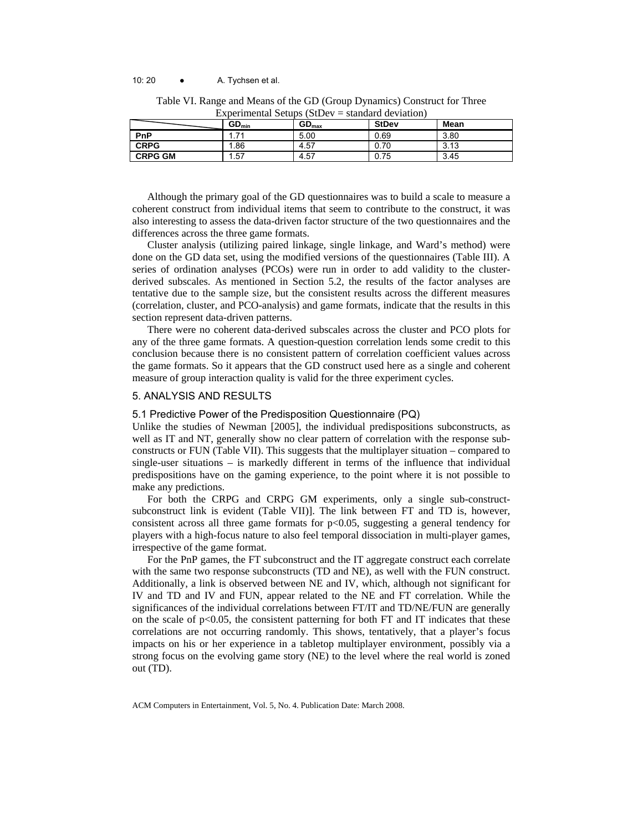10: 20 ● A. Tychsen et al.

| $\triangle$ experimental Setups (StDev = standard deviation) |            |                   |              |      |  |  |  |
|--------------------------------------------------------------|------------|-------------------|--------------|------|--|--|--|
|                                                              | $GD_{min}$ | $GD_{\text{max}}$ | <b>StDev</b> | Mean |  |  |  |
| PnP                                                          | . 71       | 5.00              | 0.69         | 3.80 |  |  |  |
| <b>CRPG</b>                                                  | .86        | 4.57              | 0.70         | 3.13 |  |  |  |
| <b>CRPG GM</b>                                               | . 57       | 4.57              | 0.75         | 3.45 |  |  |  |

Table VI. Range and Means of the GD (Group Dynamics) Construct for Three<br>Experimental Setups (StDay = standard doviation)  $\text{Ed}$  Setupe (StDev

Although the primary goal of the GD questionnaires was to build a scale to measure a coherent construct from individual items that seem to contribute to the construct, it was also interesting to assess the data-driven factor structure of the two questionnaires and the differences across the three game formats.

Cluster analysis (utilizing paired linkage, single linkage, and Ward's method) were done on the GD data set, using the modified versions of the questionnaires (Table III). A series of ordination analyses (PCOs) were run in order to add validity to the clusterderived subscales. As mentioned in Section 5.2, the results of the factor analyses are tentative due to the sample size, but the consistent results across the different measures (correlation, cluster, and PCO-analysis) and game formats, indicate that the results in this section represent data-driven patterns.

There were no coherent data-derived subscales across the cluster and PCO plots for any of the three game formats. A question-question correlation lends some credit to this conclusion because there is no consistent pattern of correlation coefficient values across the game formats. So it appears that the GD construct used here as a single and coherent measure of group interaction quality is valid for the three experiment cycles.

#### 5. ANALYSIS AND RESULTS

#### 5.1 Predictive Power of the Predisposition Questionnaire (PQ)

Unlike the studies of Newman [2005], the individual predispositions subconstructs, as well as IT and NT, generally show no clear pattern of correlation with the response subconstructs or FUN (Table VII). This suggests that the multiplayer situation – compared to single-user situations  $-$  is markedly different in terms of the influence that individual predispositions have on the gaming experience, to the point where it is not possible to make any predictions.

For both the CRPG and CRPG GM experiments, only a single sub-constructsubconstruct link is evident (Table VII)]. The link between FT and TD is, however, consistent across all three game formats for  $p<0.05$ , suggesting a general tendency for players with a high-focus nature to also feel temporal dissociation in multi-player games, irrespective of the game format.

For the PnP games, the FT subconstruct and the IT aggregate construct each correlate with the same two response subconstructs (TD and NE), as well with the FUN construct. Additionally, a link is observed between NE and IV, which, although not significant for IV and TD and IV and FUN, appear related to the NE and FT correlation. While the significances of the individual correlations between FT/IT and TD/NE/FUN are generally on the scale of  $p<0.05$ , the consistent patterning for both FT and IT indicates that these correlations are not occurring randomly. This shows, tentatively, that a player's focus impacts on his or her experience in a tabletop multiplayer environment, possibly via a strong focus on the evolving game story (NE) to the level where the real world is zoned out (TD).

ACM Computers in Entertainment, Vol. 5, No. 4. Publication Date: March 2008.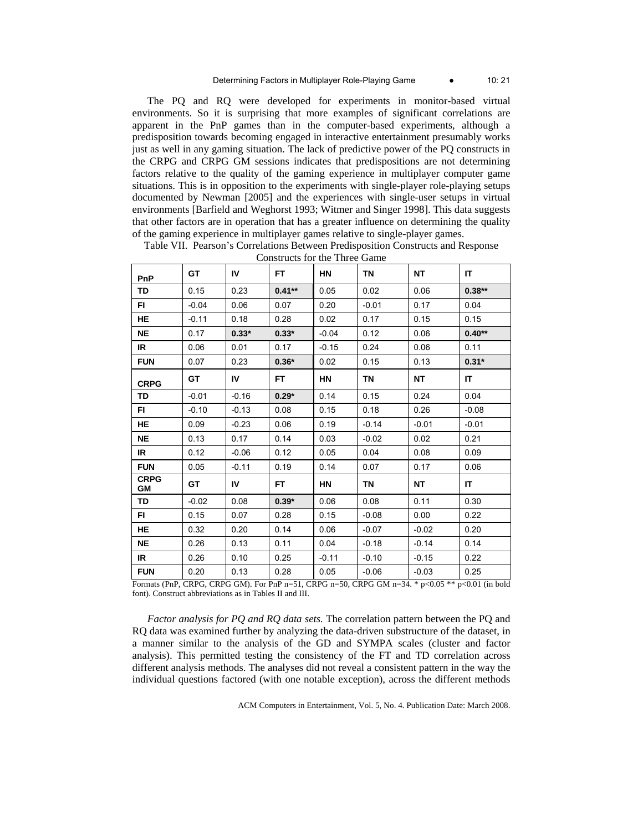The PQ and RQ were developed for experiments in monitor-based virtual environments. So it is surprising that more examples of significant correlations are apparent in the PnP games than in the computer-based experiments, although a predisposition towards becoming engaged in interactive entertainment presumably works just as well in any gaming situation. The lack of predictive power of the PQ constructs in the CRPG and CRPG GM sessions indicates that predispositions are not determining factors relative to the quality of the gaming experience in multiplayer computer game situations. This is in opposition to the experiments with single-player role-playing setups documented by Newman [2005] and the experiences with single-user setups in virtual environments [Barfield and Weghorst 1993; Witmer and Singer 1998]. This data suggests that other factors are in operation that has a greater influence on determining the quality of the gaming experience in multiplayer games relative to single-player games.

| PnP               | GT      | IV      | FT.      | <b>HN</b> | ΤN        | <b>NT</b> | IT       |
|-------------------|---------|---------|----------|-----------|-----------|-----------|----------|
| TD                | 0.15    | 0.23    | $0.41**$ | 0.05      | 0.02      | 0.06      | $0.38**$ |
| FI.               | $-0.04$ | 0.06    | 0.07     | 0.20      | $-0.01$   | 0.17      | 0.04     |
| HE                | $-0.11$ | 0.18    | 0.28     | 0.02      | 0.17      | 0.15      | 0.15     |
| <b>NE</b>         | 0.17    | $0.33*$ | $0.33*$  | $-0.04$   | 0.12      | 0.06      | $0.40**$ |
| IR.               | 0.06    | 0.01    | 0.17     | $-0.15$   | 0.24      | 0.06      | 0.11     |
| <b>FUN</b>        | 0.07    | 0.23    | $0.36*$  | 0.02      | 0.15      | 0.13      | $0.31*$  |
| <b>CRPG</b>       | GT      | IV      | FT.      | HN        | TN        | NT        | IT       |
| <b>TD</b>         | $-0.01$ | $-0.16$ | $0.29*$  | 0.14      | 0.15      | 0.24      | 0.04     |
| FI.               | $-0.10$ | $-0.13$ | 0.08     | 0.15      | 0.18      | 0.26      | $-0.08$  |
| HE                | 0.09    | $-0.23$ | 0.06     | 0.19      | $-0.14$   | $-0.01$   | $-0.01$  |
| <b>NE</b>         | 0.13    | 0.17    | 0.14     | 0.03      | $-0.02$   | 0.02      | 0.21     |
| IR                | 0.12    | $-0.06$ | 0.12     | 0.05      | 0.04      | 0.08      | 0.09     |
| <b>FUN</b>        | 0.05    | $-0.11$ | 0.19     | 0.14      | 0.07      | 0.17      | 0.06     |
| <b>CRPG</b><br>GM | GT      | IV      | FT.      | <b>HN</b> | <b>TN</b> | <b>NT</b> | IT       |
| <b>TD</b>         | $-0.02$ | 0.08    | $0.39*$  | 0.06      | 0.08      | 0.11      | 0.30     |
| FI.               | 0.15    | 0.07    | 0.28     | 0.15      | $-0.08$   | 0.00      | 0.22     |
| <b>HE</b>         | 0.32    | 0.20    | 0.14     | 0.06      | $-0.07$   | $-0.02$   | 0.20     |
| <b>NE</b>         | 0.26    | 0.13    | 0.11     | 0.04      | $-0.18$   | $-0.14$   | 0.14     |
| IR.               | 0.26    | 0.10    | 0.25     | $-0.11$   | $-0.10$   | $-0.15$   | 0.22     |
| <b>FUN</b>        | 0.20    | 0.13    | 0.28     | 0.05      | $-0.06$   | $-0.03$   | 0.25     |

Table VII. Pearson's Correlations Between Predisposition Constructs and Response Constructs for the Three Game

Formats (PnP, CRPG, CRPG GM). For PnP n=51, CRPG n=50, CRPG GM n=34. \* p<0.05 \*\* p<0.01 (in bold font). Construct abbreviations as in Tables II and III.

*Factor analysis for PQ and RQ data sets.* The correlation pattern between the PQ and RQ data was examined further by analyzing the data-driven substructure of the dataset, in a manner similar to the analysis of the GD and SYMPA scales (cluster and factor analysis). This permitted testing the consistency of the FT and TD correlation across different analysis methods. The analyses did not reveal a consistent pattern in the way the individual questions factored (with one notable exception), across the different methods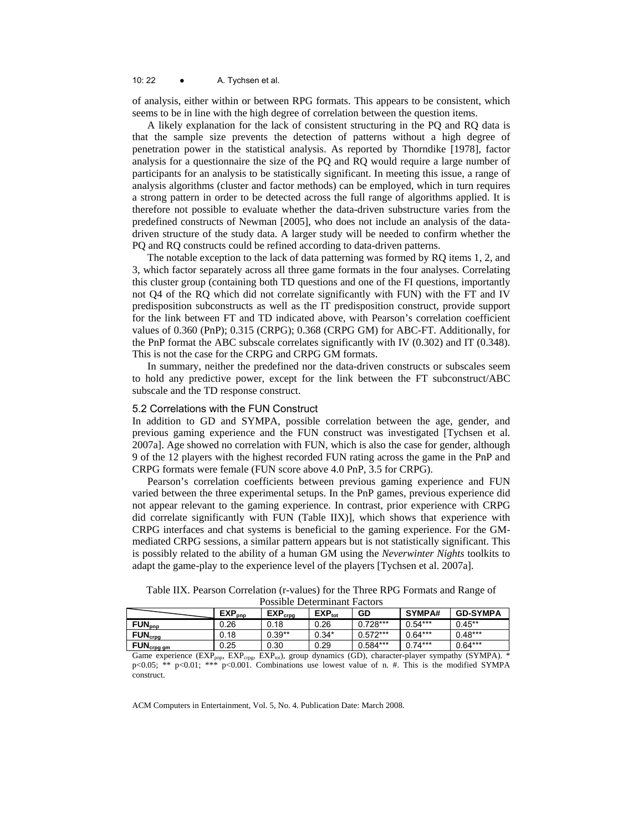#### 10: 22 ● A. Tychsen et al.

of analysis, either within or between RPG formats. This appears to be consistent, which seems to be in line with the high degree of correlation between the question items.

A likely explanation for the lack of consistent structuring in the PQ and RQ data is that the sample size prevents the detection of patterns without a high degree of penetration power in the statistical analysis. As reported by Thorndike [1978], factor analysis for a questionnaire the size of the PQ and RQ would require a large number of participants for an analysis to be statistically significant. In meeting this issue, a range of analysis algorithms (cluster and factor methods) can be employed, which in turn requires a strong pattern in order to be detected across the full range of algorithms applied. It is therefore not possible to evaluate whether the data-driven substructure varies from the predefined constructs of Newman [2005], who does not include an analysis of the datadriven structure of the study data. A larger study will be needed to confirm whether the PQ and RQ constructs could be refined according to data-driven patterns.

The notable exception to the lack of data patterning was formed by RQ items 1, 2, and 3, which factor separately across all three game formats in the four analyses. Correlating this cluster group (containing both TD questions and one of the FI questions, importantly not Q4 of the RQ which did not correlate significantly with FUN) with the FT and IV predisposition subconstructs as well as the IT predisposition construct, provide support for the link between FT and TD indicated above, with Pearson's correlation coefficient values of 0.360 (PnP); 0.315 (CRPG); 0.368 (CRPG GM) for ABC-FT. Additionally, for the PnP format the ABC subscale correlates significantly with IV (0.302) and IT (0.348). This is not the case for the CRPG and CRPG GM formats.

In summary, neither the predefined nor the data-driven constructs or subscales seem to hold any predictive power, except for the link between the FT subconstruct/ABC subscale and the TD response construct.

## 5.2 Correlations with the FUN Construct

In addition to GD and SYMPA, possible correlation between the age, gender, and previous gaming experience and the FUN construct was investigated [Tychsen et al. 2007a]. Age showed no correlation with FUN, which is also the case for gender, although 9 of the 12 players with the highest recorded FUN rating across the game in the PnP and CRPG formats were female (FUN score above 4.0 PnP, 3.5 for CRPG).

Pearson's correlation coefficients between previous gaming experience and FUN varied between the three experimental setups. In the PnP games, previous experience did not appear relevant to the gaming experience. In contrast, prior experience with CRPG did correlate significantly with FUN (Table IIX)], which shows that experience with CRPG interfaces and chat systems is beneficial to the gaming experience. For the GMmediated CRPG sessions, a similar pattern appears but is not statistically significant. This is possibly related to the ability of a human GM using the *Neverwinter Nights* toolkits to adapt the game-play to the experience level of the players [Tychsen et al. 2007a].

Table IIX. Pearson Correlation (r-values) for the Three RPG Formats and Range of Possible Determinant Factors

| т оззиле тэсгеницат тасал з |             |                   |                    |            |           |                                                                                                                                 |
|-----------------------------|-------------|-------------------|--------------------|------------|-----------|---------------------------------------------------------------------------------------------------------------------------------|
|                             | $EXP_{pnp}$ | $EXP_{crop}$      | $EXP_{\text{tot}}$ | GD         | SYMPA#    | <b>GD-SYMPA</b>                                                                                                                 |
| $FUN_{\text{pnp}}$          | 0.26        | 0.18              | 0.26               | $0.728***$ | $0.54***$ | $0.45***$                                                                                                                       |
| $FUN_{crg}$                 | 0.18        | $0.39**$          | $0.34*$            | $0.572***$ | $0.64***$ | $0.48***$                                                                                                                       |
| $FUN_{crpggm}$              | 0.25        | 0.30              | 0.29               | $0.584***$ | $0.74***$ | $0.64***$                                                                                                                       |
|                             | <b>EVD</b>  | $EVD \rightarrow$ |                    |            |           | $\frac{1}{2}$ (CV) $\frac{1}{2}$ (CV) $\frac{1}{2}$ (CV) $\frac{1}{2}$ (CV) $\frac{1}{2}$ (CV) $\frac{1}{2}$ (CV) $\frac{1}{2}$ |

Game experience ( $\text{EXP}_{\text{pnp}}, \text{EXP}_{\text{crpg}}, \text{EXP}_{\text{tot}}$ ), group dynamics (GD), character-player sympathy (SYMPA). \* p<0.05; \*\* p<0.01; \*\*\* p<0.001. Combinations use lowest value of n. #. This is the modified SYMPA construct.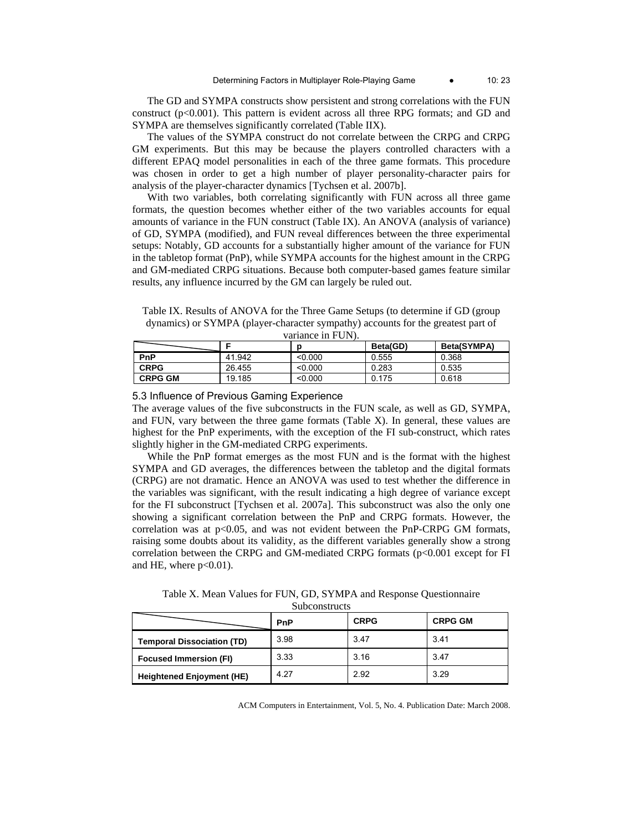The GD and SYMPA constructs show persistent and strong correlations with the FUN construct  $(p<0.001)$ . This pattern is evident across all three RPG formats; and GD and SYMPA are themselves significantly correlated (Table IIX).

The values of the SYMPA construct do not correlate between the CRPG and CRPG GM experiments. But this may be because the players controlled characters with a different EPAQ model personalities in each of the three game formats. This procedure was chosen in order to get a high number of player personality-character pairs for analysis of the player-character dynamics [Tychsen et al. 2007b].

With two variables, both correlating significantly with FUN across all three game formats, the question becomes whether either of the two variables accounts for equal amounts of variance in the FUN construct (Table IX). An ANOVA (analysis of variance) of GD, SYMPA (modified), and FUN reveal differences between the three experimental setups: Notably, GD accounts for a substantially higher amount of the variance for FUN in the tabletop format (PnP), while SYMPA accounts for the highest amount in the CRPG and GM-mediated CRPG situations. Because both computer-based games feature similar results, any influence incurred by the GM can largely be ruled out.

Table IX. Results of ANOVA for the Three Game Setups (to determine if GD (group dynamics) or SYMPA (player-character sympathy) accounts for the greatest part of variance in FUN).

|                |        |         | Beta(GD) | <b>Beta(SYMPA)</b> |
|----------------|--------|---------|----------|--------------------|
| PnP            | 41.942 | < 0.000 | 0.555    | 0.368              |
| <b>CRPG</b>    | 26.455 | < 0.000 | 0.283    | 0.535              |
| <b>CRPG GM</b> | 19.185 | < 0.000 | 0.175    | 0.618              |

#### 5.3 Influence of Previous Gaming Experience

The average values of the five subconstructs in the FUN scale, as well as GD, SYMPA, and FUN, vary between the three game formats (Table X). In general, these values are highest for the PnP experiments, with the exception of the FI sub-construct, which rates slightly higher in the GM-mediated CRPG experiments.

While the PnP format emerges as the most FUN and is the format with the highest SYMPA and GD averages, the differences between the tabletop and the digital formats (CRPG) are not dramatic. Hence an ANOVA was used to test whether the difference in the variables was significant, with the result indicating a high degree of variance except for the FI subconstruct [Tychsen et al. 2007a]. This subconstruct was also the only one showing a significant correlation between the PnP and CRPG formats. However, the correlation was at  $p<0.05$ , and was not evident between the PnP-CRPG GM formats, raising some doubts about its validity, as the different variables generally show a strong correlation between the CRPG and GM-mediated CRPG formats (p<0.001 except for FI and HE, where  $p<0.01$ ).

Table X. Mean Values for FUN, GD, SYMPA and Response Questionnaire Subconstructs

|                                   | PnP  | <b>CRPG</b> | <b>CRPG GM</b> |
|-----------------------------------|------|-------------|----------------|
| <b>Temporal Dissociation (TD)</b> | 3.98 | 3.47        | 3.41           |
| <b>Focused Immersion (FI)</b>     | 3.33 | 3.16        | 3.47           |
| <b>Heightened Enjoyment (HE)</b>  | 4.27 | 2.92        | 3.29           |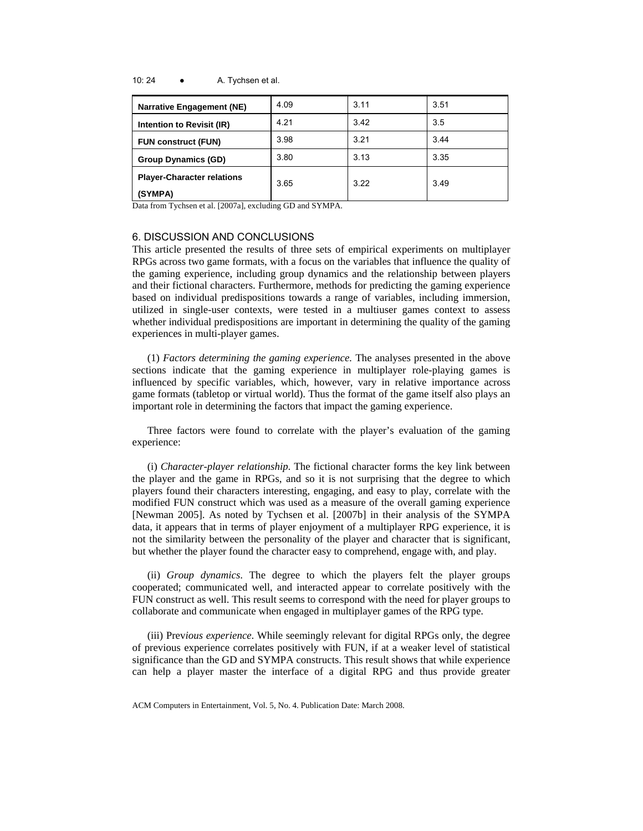#### 10: 24 ● A. Tychsen et al.

| Narrative Engagement (NE)         | 4.09 | 3.11 | 3.51 |
|-----------------------------------|------|------|------|
| Intention to Revisit (IR)         | 4.21 | 3.42 | 3.5  |
| <b>FUN construct (FUN)</b>        | 3.98 | 3.21 | 3.44 |
| <b>Group Dynamics (GD)</b>        | 3.80 | 3.13 | 3.35 |
| <b>Player-Character relations</b> | 3.65 | 3.22 | 3.49 |
| (SYMPA)                           |      |      |      |

Data from Tychsen et al. [2007a], excluding GD and SYMPA.

## 6. DISCUSSION AND CONCLUSIONS

This article presented the results of three sets of empirical experiments on multiplayer RPGs across two game formats, with a focus on the variables that influence the quality of the gaming experience, including group dynamics and the relationship between players and their fictional characters. Furthermore, methods for predicting the gaming experience based on individual predispositions towards a range of variables, including immersion, utilized in single-user contexts, were tested in a multiuser games context to assess whether individual predispositions are important in determining the quality of the gaming experiences in multi-player games.

(1) *Factors determining the gaming experience.* The analyses presented in the above sections indicate that the gaming experience in multiplayer role-playing games is influenced by specific variables, which, however, vary in relative importance across game formats (tabletop or virtual world). Thus the format of the game itself also plays an important role in determining the factors that impact the gaming experience.

Three factors were found to correlate with the player's evaluation of the gaming experience:

(i) *Character-player relationship*. The fictional character forms the key link between the player and the game in RPGs, and so it is not surprising that the degree to which players found their characters interesting, engaging, and easy to play, correlate with the modified FUN construct which was used as a measure of the overall gaming experience [Newman 2005]. As noted by Tychsen et al. [2007b] in their analysis of the SYMPA data, it appears that in terms of player enjoyment of a multiplayer RPG experience, it is not the similarity between the personality of the player and character that is significant, but whether the player found the character easy to comprehend, engage with, and play.

(ii) *Group dynamics*. The degree to which the players felt the player groups cooperated; communicated well, and interacted appear to correlate positively with the FUN construct as well. This result seems to correspond with the need for player groups to collaborate and communicate when engaged in multiplayer games of the RPG type.

(iii) Prev*ious experience*. While seemingly relevant for digital RPGs only, the degree of previous experience correlates positively with FUN, if at a weaker level of statistical significance than the GD and SYMPA constructs. This result shows that while experience can help a player master the interface of a digital RPG and thus provide greater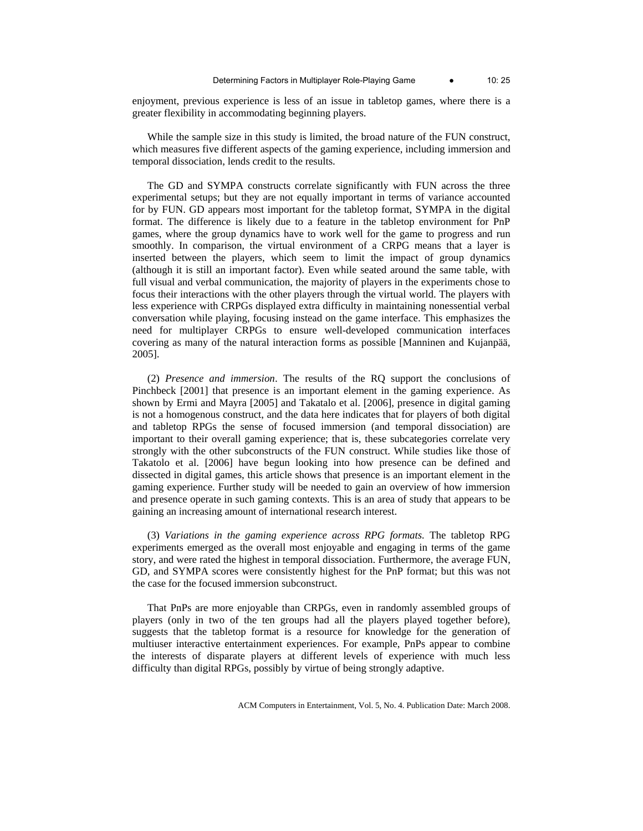enjoyment, previous experience is less of an issue in tabletop games, where there is a greater flexibility in accommodating beginning players.

While the sample size in this study is limited, the broad nature of the FUN construct, which measures five different aspects of the gaming experience, including immersion and temporal dissociation, lends credit to the results.

The GD and SYMPA constructs correlate significantly with FUN across the three experimental setups; but they are not equally important in terms of variance accounted for by FUN. GD appears most important for the tabletop format, SYMPA in the digital format. The difference is likely due to a feature in the tabletop environment for PnP games, where the group dynamics have to work well for the game to progress and run smoothly. In comparison, the virtual environment of a CRPG means that a layer is inserted between the players, which seem to limit the impact of group dynamics (although it is still an important factor). Even while seated around the same table, with full visual and verbal communication, the majority of players in the experiments chose to focus their interactions with the other players through the virtual world. The players with less experience with CRPGs displayed extra difficulty in maintaining nonessential verbal conversation while playing, focusing instead on the game interface. This emphasizes the need for multiplayer CRPGs to ensure well-developed communication interfaces covering as many of the natural interaction forms as possible [Manninen and Kujanpää, 2005].

(2) *Presence and immersion*. The results of the RQ support the conclusions of Pinchbeck [2001] that presence is an important element in the gaming experience. As shown by Ermi and Mayra [2005] and Takatalo et al. [2006], presence in digital gaming is not a homogenous construct, and the data here indicates that for players of both digital and tabletop RPGs the sense of focused immersion (and temporal dissociation) are important to their overall gaming experience; that is, these subcategories correlate very strongly with the other subconstructs of the FUN construct. While studies like those of Takatolo et al. [2006] have begun looking into how presence can be defined and dissected in digital games, this article shows that presence is an important element in the gaming experience. Further study will be needed to gain an overview of how immersion and presence operate in such gaming contexts. This is an area of study that appears to be gaining an increasing amount of international research interest.

(3) *Variations in the gaming experience across RPG formats.* The tabletop RPG experiments emerged as the overall most enjoyable and engaging in terms of the game story, and were rated the highest in temporal dissociation. Furthermore, the average FUN, GD, and SYMPA scores were consistently highest for the PnP format; but this was not the case for the focused immersion subconstruct.

That PnPs are more enjoyable than CRPGs, even in randomly assembled groups of players (only in two of the ten groups had all the players played together before), suggests that the tabletop format is a resource for knowledge for the generation of multiuser interactive entertainment experiences. For example, PnPs appear to combine the interests of disparate players at different levels of experience with much less difficulty than digital RPGs, possibly by virtue of being strongly adaptive.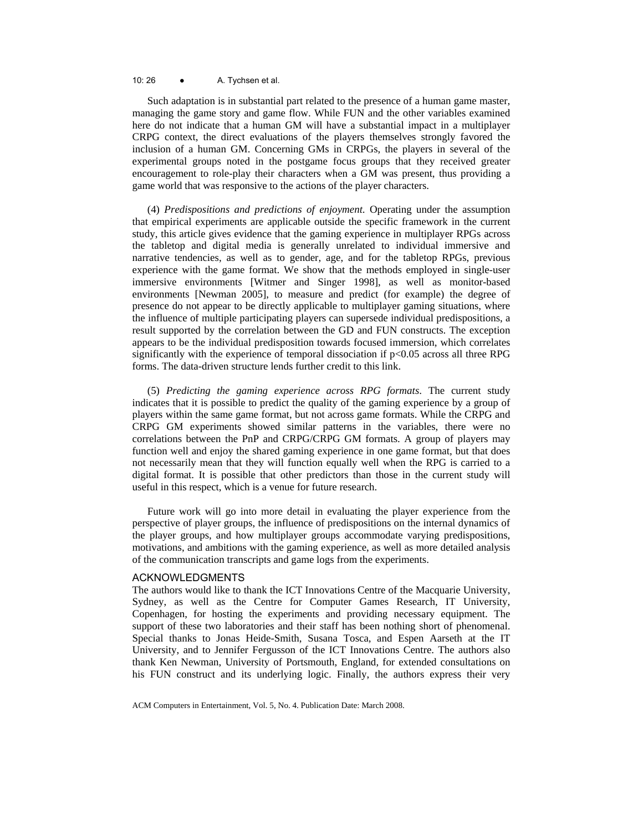#### 10: 26 ● A. Tychsen et al.

Such adaptation is in substantial part related to the presence of a human game master, managing the game story and game flow. While FUN and the other variables examined here do not indicate that a human GM will have a substantial impact in a multiplayer CRPG context, the direct evaluations of the players themselves strongly favored the inclusion of a human GM. Concerning GMs in CRPGs, the players in several of the experimental groups noted in the postgame focus groups that they received greater encouragement to role-play their characters when a GM was present, thus providing a game world that was responsive to the actions of the player characters.

(4) *Predispositions and predictions of enjoyment*. Operating under the assumption that empirical experiments are applicable outside the specific framework in the current study, this article gives evidence that the gaming experience in multiplayer RPGs across the tabletop and digital media is generally unrelated to individual immersive and narrative tendencies, as well as to gender, age, and for the tabletop RPGs, previous experience with the game format. We show that the methods employed in single-user immersive environments [Witmer and Singer 1998], as well as monitor-based environments [Newman 2005], to measure and predict (for example) the degree of presence do not appear to be directly applicable to multiplayer gaming situations, where the influence of multiple participating players can supersede individual predispositions, a result supported by the correlation between the GD and FUN constructs. The exception appears to be the individual predisposition towards focused immersion, which correlates significantly with the experience of temporal dissociation if p<0.05 across all three RPG forms. The data-driven structure lends further credit to this link.

(5) *Predicting the gaming experience across RPG formats*. The current study indicates that it is possible to predict the quality of the gaming experience by a group of players within the same game format, but not across game formats. While the CRPG and CRPG GM experiments showed similar patterns in the variables, there were no correlations between the PnP and CRPG/CRPG GM formats. A group of players may function well and enjoy the shared gaming experience in one game format, but that does not necessarily mean that they will function equally well when the RPG is carried to a digital format. It is possible that other predictors than those in the current study will useful in this respect, which is a venue for future research.

Future work will go into more detail in evaluating the player experience from the perspective of player groups, the influence of predispositions on the internal dynamics of the player groups, and how multiplayer groups accommodate varying predispositions, motivations, and ambitions with the gaming experience, as well as more detailed analysis of the communication transcripts and game logs from the experiments.

#### ACKNOWLEDGMENTS

The authors would like to thank the ICT Innovations Centre of the Macquarie University, Sydney, as well as the Centre for Computer Games Research, IT University, Copenhagen, for hosting the experiments and providing necessary equipment. The support of these two laboratories and their staff has been nothing short of phenomenal. Special thanks to Jonas Heide-Smith, Susana Tosca, and Espen Aarseth at the IT University, and to Jennifer Fergusson of the ICT Innovations Centre. The authors also thank Ken Newman, University of Portsmouth, England, for extended consultations on his FUN construct and its underlying logic. Finally, the authors express their very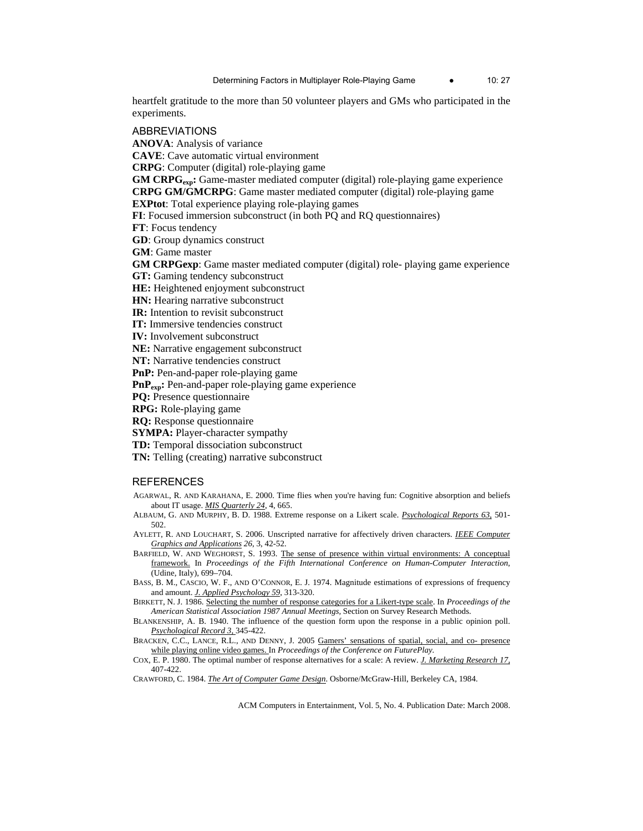Determining Factors in Multiplayer Role-Playing Game • 10: 27

heartfelt gratitude to the more than 50 volunteer players and GMs who participated in the experiments.

ABBREVIATIONS

**ANOVA**: Analysis of variance

**CAVE**: Cave automatic virtual environment

**CRPG**: Computer (digital) role-playing game

**GM CRPGexp:** Game-master mediated computer (digital) role-playing game experience **CRPG GM/GMCRPG**: Game master mediated computer (digital) role-playing game

**EXPtot**: Total experience playing role-playing games

**FI**: Focused immersion subconstruct (in both PQ and RQ questionnaires)

**FT**: Focus tendency

**GD**: Group dynamics construct

**GM**: Game master

**GM CRPGexp**: Game master mediated computer (digital) role- playing game experience

**GT:** Gaming tendency subconstruct

**HE:** Heightened enjoyment subconstruct

**HN:** Hearing narrative subconstruct

**IR:** Intention to revisit subconstruct

**IT:** Immersive tendencies construct

**IV:** Involvement subconstruct

**NE:** Narrative engagement subconstruct

**NT:** Narrative tendencies construct

**PnP:** Pen-and-paper role-playing game

**PnP<sub>exp</sub>**: Pen-and-paper role-playing game experience

**PQ:** Presence questionnaire

**RPG:** Role-playing game

**RQ:** Response questionnaire

**SYMPA:** Player-character sympathy

**TD:** Temporal dissociation subconstruct

**TN:** Telling (creating) narrative subconstruct

#### REFERENCES

AGARWAL, R. AND KARAHANA, E. 2000. Time flies when you're having fun: Cognitive absorption and beliefs about IT usage. *MIS Quarterly 24*, 4, 665.

ALBAUM, G. AND MURPHY, B. D. 1988. Extreme response on a Likert scale. *Psychological Reports 63*, 501- 502.

AYLETT, R. AND LOUCHART, S. 2006. Unscripted narrative for affectively driven characters. *IEEE Computer Graphics and Applications 26*, 3, 42-52.

BARFIELD, W. AND WEGHORST, S. 1993. The sense of presence within virtual environments: A conceptual framework. In *Proceedings of the Fifth International Conference on Human-Computer Interaction*, (Udine, Italy), 699–704.

BASS, B. M., CASCIO, W. F., AND O'CONNOR, E. J. 1974. Magnitude estimations of expressions of frequency and amount. *J. Applied Psychology 59*, 313-320.

BIRKETT, N. J. 1986. Selecting the number of response categories for a Likert-type scale. In *Proceedings of the American Statistical Association 1987 Annual Meetings,* Section on Survey Research Methods.

BLANKENSHIP, A. B. 1940. The influence of the question form upon the response in a public opinion poll. *Psychological Record 3,* 345-422.

BRACKEN, C.C., LANCE, R.L., AND DENNY, J. 2005 Gamers' sensations of spatial, social, and co- presence while playing online video games. In *Proceedings of the Conference on FuturePlay.*

COX, E. P. 1980. The optimal number of response alternatives for a scale: A review. *J. Marketing Research 17,* 407-422.

CRAWFORD, C. 1984. *The Art of Computer Game Design*. Osborne/McGraw-Hill, Berkeley CA, 1984.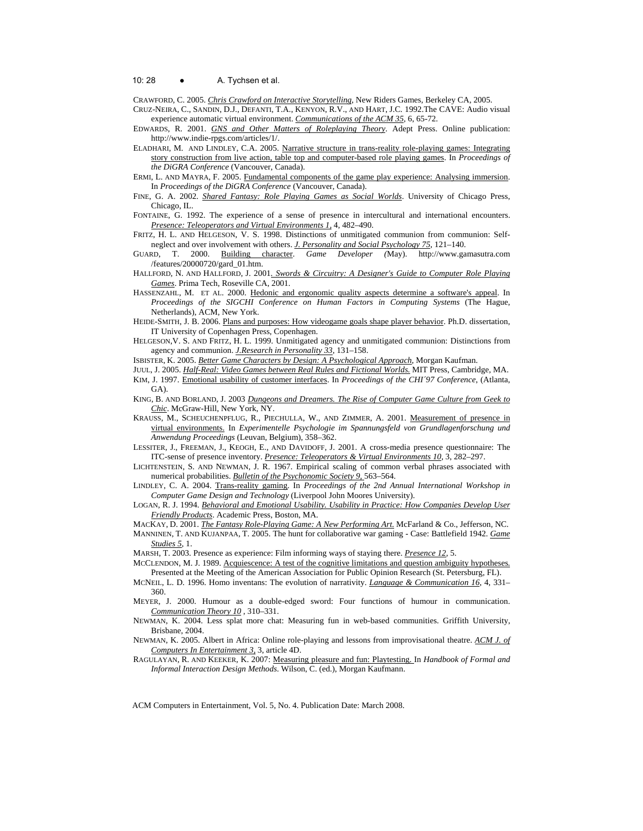10:28 ● A. Tychsen et al.

CRAWFORD, C. 2005. *Chris Crawford on Interactive Storytelling*, New Riders Games, Berkeley CA, 2005.

- CRUZ-NEIRA, C., SANDIN, D.J., DEFANTI, T.A., KENYON, R.V., AND HART, J.C. 1992.The CAVE: Audio visual experience automatic virtual environment. *Communications of the ACM 35,* 6, 65-72.
- EDWARDS, R. 2001. *GNS and Other Matters of Roleplaying Theory*. Adept Press. Online publication: http://www.indie-rpgs.com/articles/1/.
- ELADHARI, M. AND LINDLEY, C.A. 2005. Narrative structure in trans-reality role-playing games: Integrating story construction from live action, table top and computer-based role playing games. In *Proceedings of the DiGRA Conference* (Vancouver, Canada).
- ERMI, L. AND MAYRA, F. 2005. Fundamental components of the game play experience: Analysing immersion. In *Proceedings of the DiGRA Conference* (Vancouver, Canada).
- FINE, G. A. 2002. *Shared Fantasy: Role Playing Games as Social Worlds*. University of Chicago Press, Chicago, IL.
- FONTAINE, G. 1992. The experience of a sense of presence in intercultural and international encounters. *Presence: Teleoperators and Virtual Environments 1,* 4, 482–490.
- FRITZ, H. L. AND HELGESON, V. S. 1998. Distinctions of unmitigated communion from communion: Selfneglect and over involvement with others. *J. Personality and Social Psychology 75*, 121–140.
- GUARD, T. 2000. Building character. *Game Developer (*May). http://www.gamasutra.com /features/20000720/gard\_01.htm.
- HALLFORD, N. AND HALLFORD, J. 2001*. Swords & Circuitry: A Designer's Guide to Computer Role Playing Games*. Prima Tech, Roseville CA, 2001.
- HASSENZAHL, M. ET AL. 2000. Hedonic and ergonomic quality aspects determine a software's appeal. In *Proceedings of the SIGCHI Conference on Human Factors in Computing Systems* (The Hague, Netherlands), ACM, New York.
- HEIDE-SMITH, J. B. 2006. Plans and purposes: How videogame goals shape player behavior. Ph.D. dissertation, IT University of Copenhagen Press, Copenhagen.
- HELGESON,V. S. AND FRITZ, H. L. 1999. Unmitigated agency and unmitigated communion: Distinctions from agency and communion. *J.Research in Personality 33*, 131–158.
- ISBISTER, K. 2005. *Better Game Characters by Design: A Psychological Approach*, Morgan Kaufman.
- JUUL, J. 2005. *Half-Real: Video Games between Real Rules and Fictional Worlds.* MIT Press, Cambridge, MA.
- KIM, J. 1997. Emotional usability of customer interfaces. In *Proceedings of the CHI´97 Conference*, (Atlanta, GA).
- KING, B. AND BORLAND, J. 2003 *Dungeons and Dreamers. The Rise of Computer Game Culture from Geek to Chic*. McGraw-Hill, New York, NY.
- KRAUSS, M., SCHEUCHENPFLUG, R., PIECHULLA, W., AND ZIMMER, A. 2001. Measurement of presence in virtual environments. In *Experimentelle Psychologie im Spannungsfeld von Grundlagenforschung und Anwendung Proceedings* (Leuvan, Belgium), 358–362.
- LESSITER, J., FREEMAN, J., KEOGH, E., AND DAVIDOFF, J. 2001. A cross-media presence questionnaire: The ITC-sense of presence inventory. *Presence: Teleoperators & Virtual Environments 10*, 3, 282–297.
- LICHTENSTEIN, S. AND NEWMAN, J. R. 1967. Empirical scaling of common verbal phrases associated with numerical probabilities. *Bulletin of the Psychonomic Society 9,* 563–564.
- LINDLEY, C. A. 2004. Trans-reality gaming. In *Proceedings of the 2nd Annual International Workshop in Computer Game Design and Technology* (Liverpool John Moores University).
- LOGAN, R. J. 1994. *Behavioral and Emotional Usability. Usability in Practice: How Companies Develop User Friendly Products*. Academic Press, Boston, MA.

MACKAY, D. 2001. *The Fantasy Role-Playing Game: A New Performing Art.* McFarland & Co., Jefferson, NC.

MANNINEN, T. AND KUJANPAA, T. 2005. The hunt for collaborative war gaming - Case: Battlefield 1942. *Game Studies 5*, 1.

MARSH, T. 2003. Presence as experience: Film informing ways of staying there. *Presence 12*, 5.

- MCCLENDON, M. J. 1989. Acquiescence: A test of the cognitive limitations and question ambiguity hypotheses*.* Presented at the Meeting of the American Association for Public Opinion Research (St. Petersburg, FL).
- MCNEIL, L. D. 1996. Homo inventans: The evolution of narrativity. *Language & Communication 16*, 4, 331– 360.
- MEYER, J. 2000. Humour as a double-edged sword: Four functions of humour in communication. *Communication Theory 10* , 310–331.
- NEWMAN, K. 2004. Less splat more chat: Measuring fun in web-based communities. Griffith University, Brisbane, 2004.
- NEWMAN, K. 2005. Albert in Africa: Online role-playing and lessons from improvisational theatre. *ACM J. of Computers In Entertainment 3,* 3, article 4D.
- RAGULAYAN, R. AND KEEKER, K. 2007: Measuring pleasure and fun: Playtesting. In *Handbook of Formal and Informal Interaction Design Methods*. Wilson, C. (ed.), Morgan Kaufmann.